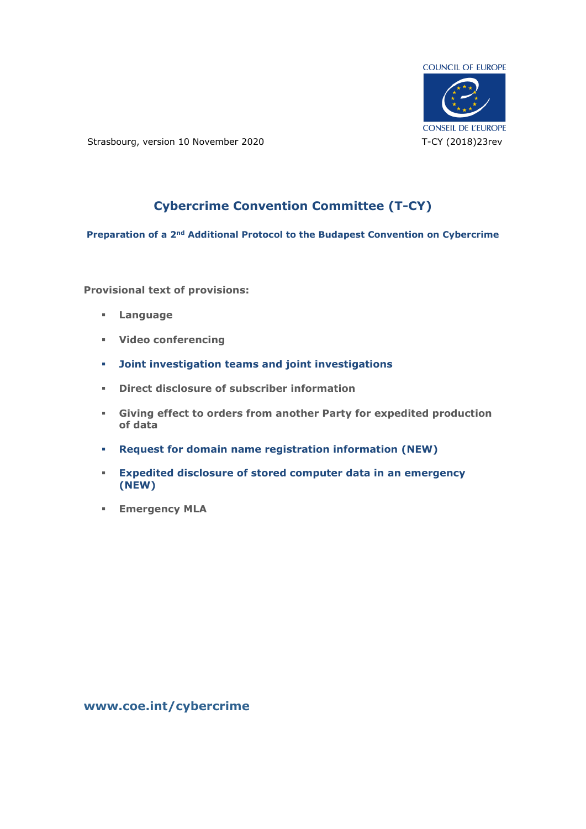

Strasbourg, version 10 November 2020 T-CY (2018)23rev

## **Cybercrime Convention Committee (T-CY)**

**Preparation of a 2nd Additional Protocol to the Budapest Convention on Cybercrime**

**Provisional text of provisions:**

- **Language**
- **Video conferencing**
- **Joint investigation teams and joint investigations**
- **Direct disclosure of subscriber information**
- **Giving effect to orders from another Party for expedited production of data**
- **Request for domain name registration information (NEW)**
- **Expedited disclosure of stored computer data in an emergency (NEW)**
- **Emergency MLA**

**[www.coe.int/cybercrime](http://www.coe.int/TCY)**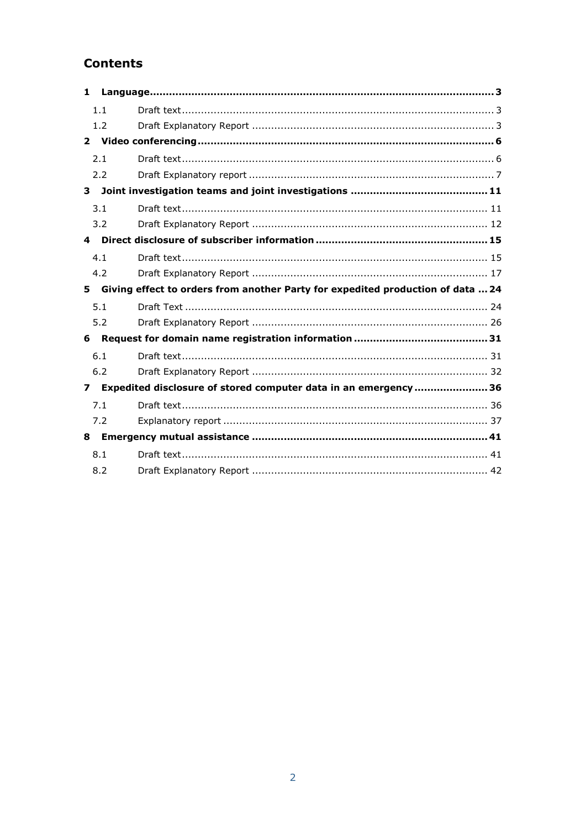## **Contents**

| $\mathbf{1}$   |     |                                                                                 |
|----------------|-----|---------------------------------------------------------------------------------|
|                | 1.1 |                                                                                 |
|                | 1.2 |                                                                                 |
|                |     |                                                                                 |
|                | 2.1 |                                                                                 |
|                | 2.2 |                                                                                 |
| $\mathbf{3}$   |     |                                                                                 |
|                | 3.1 |                                                                                 |
|                | 3.2 |                                                                                 |
| 4              |     |                                                                                 |
|                | 4.1 |                                                                                 |
|                | 4.2 |                                                                                 |
|                |     |                                                                                 |
| 5              |     | Giving effect to orders from another Party for expedited production of data  24 |
|                | 5.1 |                                                                                 |
|                | 5.2 |                                                                                 |
| 6              |     |                                                                                 |
|                | 6.1 |                                                                                 |
|                | 6.2 |                                                                                 |
| $\overline{ }$ |     | Expedited disclosure of stored computer data in an emergency  36                |
|                | 7.1 |                                                                                 |
|                | 7.2 |                                                                                 |
| 8              |     |                                                                                 |
|                | 8.1 |                                                                                 |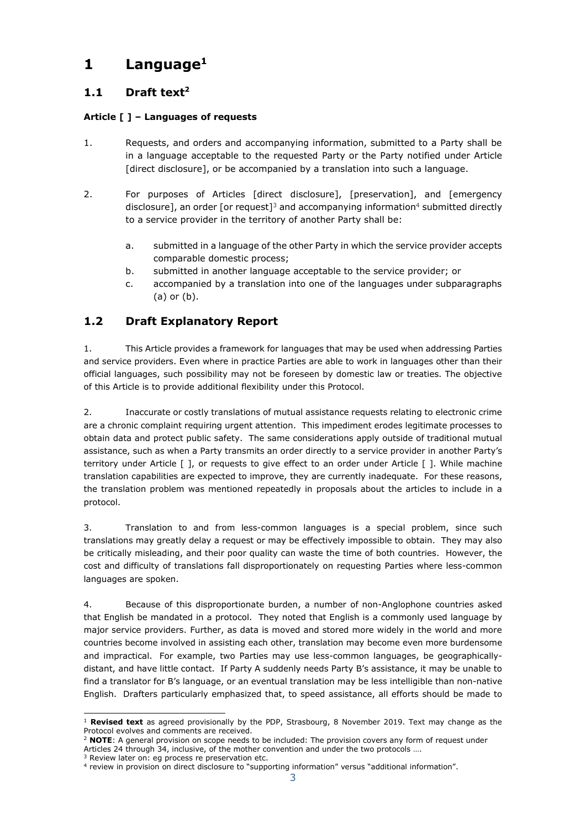# <span id="page-2-0"></span>**1 Language<sup>1</sup>**

## <span id="page-2-1"></span>**1.1 Draft text<sup>2</sup>**

### **Article [ ] – Languages of requests**

- 1. Requests, and orders and accompanying information, submitted to a Party shall be in a language acceptable to the requested Party or the Party notified under Article [direct disclosure], or be accompanied by a translation into such a language.
- 2. For purposes of Articles [direct disclosure], [preservation], and [emergency disclosure], an order [or request]<sup>3</sup> and accompanying information<sup>4</sup> submitted directly to a service provider in the territory of another Party shall be:
	- a. submitted in a language of the other Party in which the service provider accepts comparable domestic process;
	- b. submitted in another language acceptable to the service provider; or
	- c. accompanied by a translation into one of the languages under subparagraphs (a) or (b).

## <span id="page-2-2"></span>**1.2 Draft Explanatory Report**

1. This Article provides a framework for languages that may be used when addressing Parties and service providers. Even where in practice Parties are able to work in languages other than their official languages, such possibility may not be foreseen by domestic law or treaties. The objective of this Article is to provide additional flexibility under this Protocol.

2. Inaccurate or costly translations of mutual assistance requests relating to electronic crime are a chronic complaint requiring urgent attention. This impediment erodes legitimate processes to obtain data and protect public safety. The same considerations apply outside of traditional mutual assistance, such as when a Party transmits an order directly to a service provider in another Party's territory under Article [ ], or requests to give effect to an order under Article [ ]. While machine translation capabilities are expected to improve, they are currently inadequate. For these reasons, the translation problem was mentioned repeatedly in proposals about the articles to include in a protocol.

3. Translation to and from less-common languages is a special problem, since such translations may greatly delay a request or may be effectively impossible to obtain. They may also be critically misleading, and their poor quality can waste the time of both countries. However, the cost and difficulty of translations fall disproportionately on requesting Parties where less-common languages are spoken.

4. Because of this disproportionate burden, a number of non-Anglophone countries asked that English be mandated in a protocol. They noted that English is a commonly used language by major service providers. Further, as data is moved and stored more widely in the world and more countries become involved in assisting each other, translation may become even more burdensome and impractical. For example, two Parties may use less-common languages, be geographicallydistant, and have little contact. If Party A suddenly needs Party B's assistance, it may be unable to find a translator for B's language, or an eventual translation may be less intelligible than non-native English. Drafters particularly emphasized that, to speed assistance, all efforts should be made to

<sup>-</sup><sup>1</sup> **Revised text** as agreed provisionally by the PDP, Strasbourg, 8 November 2019. Text may change as the Protocol evolves and comments are received.

<sup>&</sup>lt;sup>2</sup> **NOTE**: A general provision on scope needs to be included: The provision covers any form of request under Articles 24 through 34, inclusive, of the mother convention and under the two protocols ….

<sup>3</sup> Review later on: eg process re preservation etc.

<sup>4</sup> review in provision on direct disclosure to "supporting information" versus "additional information".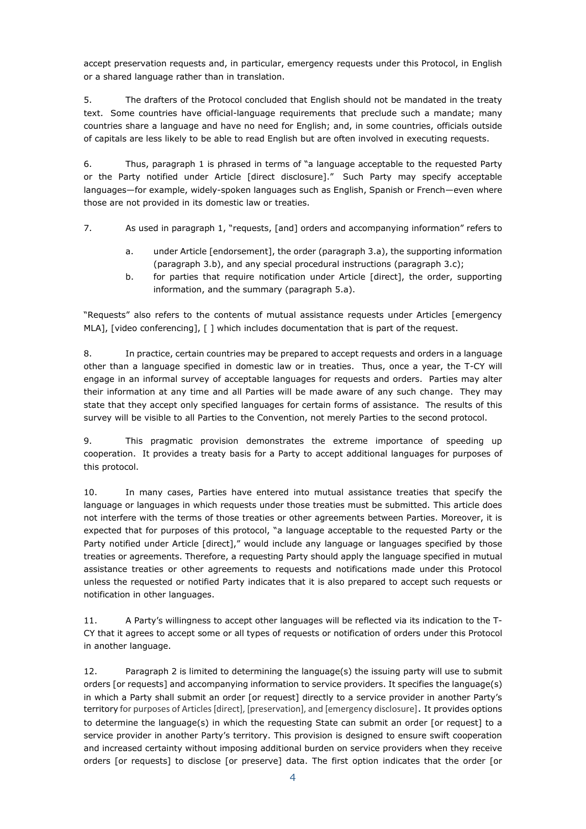accept preservation requests and, in particular, emergency requests under this Protocol, in English or a shared language rather than in translation.

5. The drafters of the Protocol concluded that English should not be mandated in the treaty text. Some countries have official-language requirements that preclude such a mandate; many countries share a language and have no need for English; and, in some countries, officials outside of capitals are less likely to be able to read English but are often involved in executing requests.

6. Thus, paragraph 1 is phrased in terms of "a language acceptable to the requested Party or the Party notified under Article [direct disclosure]." Such Party may specify acceptable languages—for example, widely-spoken languages such as English, Spanish or French—even where those are not provided in its domestic law or treaties.

7. As used in paragraph 1, "requests, [and] orders and accompanying information" refers to

- a. under Article [endorsement], the order (paragraph 3.a), the supporting information (paragraph 3.b), and any special procedural instructions (paragraph 3.c);
- b. for parties that require notification under Article [direct], the order, supporting information, and the summary (paragraph 5.a).

"Requests" also refers to the contents of mutual assistance requests under Articles [emergency MLA], [video conferencing], [ ] which includes documentation that is part of the request.

8. In practice, certain countries may be prepared to accept requests and orders in a language other than a language specified in domestic law or in treaties. Thus, once a year, the T-CY will engage in an informal survey of acceptable languages for requests and orders. Parties may alter their information at any time and all Parties will be made aware of any such change. They may state that they accept only specified languages for certain forms of assistance. The results of this survey will be visible to all Parties to the Convention, not merely Parties to the second protocol.

9. This pragmatic provision demonstrates the extreme importance of speeding up cooperation. It provides a treaty basis for a Party to accept additional languages for purposes of this protocol.

10. In many cases, Parties have entered into mutual assistance treaties that specify the language or languages in which requests under those treaties must be submitted. This article does not interfere with the terms of those treaties or other agreements between Parties. Moreover, it is expected that for purposes of this protocol, "a language acceptable to the requested Party or the Party notified under Article [direct]," would include any language or languages specified by those treaties or agreements. Therefore, a requesting Party should apply the language specified in mutual assistance treaties or other agreements to requests and notifications made under this Protocol unless the requested or notified Party indicates that it is also prepared to accept such requests or notification in other languages.

11. A Party's willingness to accept other languages will be reflected via its indication to the T-CY that it agrees to accept some or all types of requests or notification of orders under this Protocol in another language.

12. Paragraph 2 is limited to determining the language(s) the issuing party will use to submit orders [or requests] and accompanying information to service providers. It specifies the language(s) in which a Party shall submit an order [or request] directly to a service provider in another Party's territory for purposes of Articles [direct], [preservation], and [emergency disclosure]. It provides options to determine the language(s) in which the requesting State can submit an order [or request] to a service provider in another Party's territory. This provision is designed to ensure swift cooperation and increased certainty without imposing additional burden on service providers when they receive orders [or requests] to disclose [or preserve] data. The first option indicates that the order [or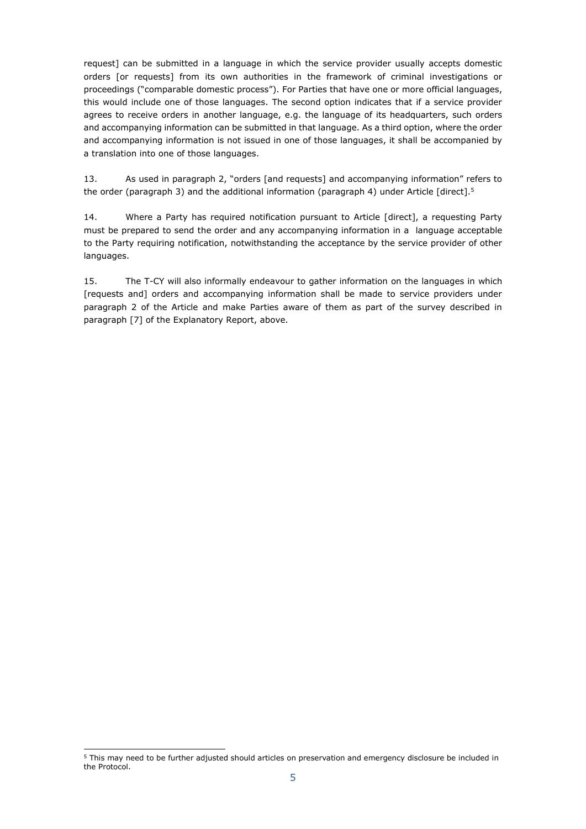request] can be submitted in a language in which the service provider usually accepts domestic orders [or requests] from its own authorities in the framework of criminal investigations or proceedings ("comparable domestic process"). For Parties that have one or more official languages, this would include one of those languages. The second option indicates that if a service provider agrees to receive orders in another language, e.g. the language of its headquarters, such orders and accompanying information can be submitted in that language. As a third option, where the order and accompanying information is not issued in one of those languages, it shall be accompanied by a translation into one of those languages.

13. As used in paragraph 2, "orders [and requests] and accompanying information" refers to the order (paragraph 3) and the additional information (paragraph 4) under Article [direct].<sup>5</sup>

14. Where a Party has required notification pursuant to Article [direct], a requesting Party must be prepared to send the order and any accompanying information in a language acceptable to the Party requiring notification, notwithstanding the acceptance by the service provider of other languages.

15. The T-CY will also informally endeavour to gather information on the languages in which [requests and] orders and accompanying information shall be made to service providers under paragraph 2 of the Article and make Parties aware of them as part of the survey described in paragraph [7] of the Explanatory Report, above.

i, <sup>5</sup> This may need to be further adjusted should articles on preservation and emergency disclosure be included in the Protocol.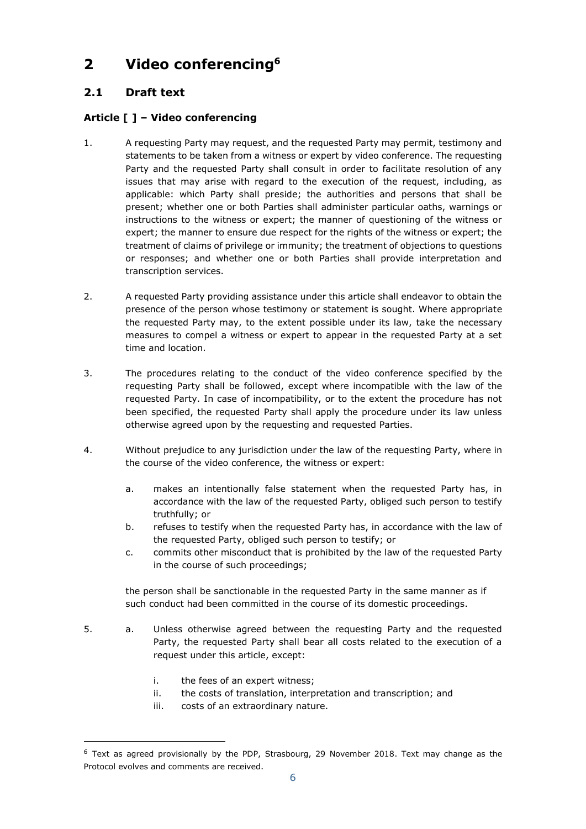# <span id="page-5-0"></span>**2 Video conferencing<sup>6</sup>**

## <span id="page-5-1"></span>**2.1 Draft text**

### **Article [ ] – Video conferencing**

- 1. A requesting Party may request, and the requested Party may permit, testimony and statements to be taken from a witness or expert by video conference. The requesting Party and the requested Party shall consult in order to facilitate resolution of any issues that may arise with regard to the execution of the request, including, as applicable: which Party shall preside; the authorities and persons that shall be present; whether one or both Parties shall administer particular oaths, warnings or instructions to the witness or expert; the manner of questioning of the witness or expert; the manner to ensure due respect for the rights of the witness or expert; the treatment of claims of privilege or immunity; the treatment of objections to questions or responses; and whether one or both Parties shall provide interpretation and transcription services.
- 2. A requested Party providing assistance under this article shall endeavor to obtain the presence of the person whose testimony or statement is sought. Where appropriate the requested Party may, to the extent possible under its law, take the necessary measures to compel a witness or expert to appear in the requested Party at a set time and location.
- 3. The procedures relating to the conduct of the video conference specified by the requesting Party shall be followed, except where incompatible with the law of the requested Party. In case of incompatibility, or to the extent the procedure has not been specified, the requested Party shall apply the procedure under its law unless otherwise agreed upon by the requesting and requested Parties.
- 4. Without prejudice to any jurisdiction under the law of the requesting Party, where in the course of the video conference, the witness or expert:
	- a. makes an intentionally false statement when the requested Party has, in accordance with the law of the requested Party, obliged such person to testify truthfully; or
	- b. refuses to testify when the requested Party has, in accordance with the law of the requested Party, obliged such person to testify; or
	- c. commits other misconduct that is prohibited by the law of the requested Party in the course of such proceedings;

the person shall be sanctionable in the requested Party in the same manner as if such conduct had been committed in the course of its domestic proceedings.

- 5. a. Unless otherwise agreed between the requesting Party and the requested Party, the requested Party shall bear all costs related to the execution of a request under this article, except:
	- i. the fees of an expert witness;

i,

- ii. the costs of translation, interpretation and transcription; and
- iii. costs of an extraordinary nature.

<sup>6</sup> Text as agreed provisionally by the PDP, Strasbourg, 29 November 2018. Text may change as the Protocol evolves and comments are received.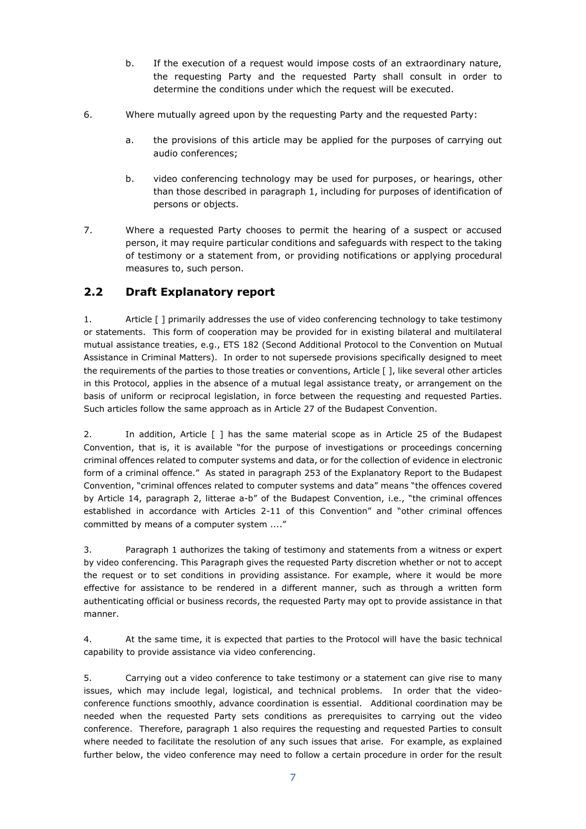- b. If the execution of a request would impose costs of an extraordinary nature, the requesting Party and the requested Party shall consult in order to determine the conditions under which the request will be executed.
- 6. Where mutually agreed upon by the requesting Party and the requested Party:
	- a. the provisions of this article may be applied for the purposes of carrying out audio conferences;
	- b. video conferencing technology may be used for purposes, or hearings, other than those described in paragraph 1, including for purposes of identification of persons or objects.
- 7. Where a requested Party chooses to permit the hearing of a suspect or accused person, it may require particular conditions and safeguards with respect to the taking of testimony or a statement from, or providing notifications or applying procedural measures to, such person.

### <span id="page-6-0"></span>**2.2 Draft Explanatory report**

1. Article [ ] primarily addresses the use of video conferencing technology to take testimony or statements. This form of cooperation may be provided for in existing bilateral and multilateral mutual assistance treaties, e.g., ETS 182 (Second Additional Protocol to the Convention on Mutual Assistance in Criminal Matters). In order to not supersede provisions specifically designed to meet the requirements of the parties to those treaties or conventions, Article [ ], like several other articles in this Protocol, applies in the absence of a mutual legal assistance treaty, or arrangement on the basis of uniform or reciprocal legislation, in force between the requesting and requested Parties. Such articles follow the same approach as in Article 27 of the Budapest Convention.

2. In addition, Article [ ] has the same material scope as in Article 25 of the Budapest Convention, that is, it is available "for the purpose of investigations or proceedings concerning criminal offences related to computer systems and data, or for the collection of evidence in electronic form of a criminal offence." As stated in paragraph 253 of the Explanatory Report to the Budapest Convention, "criminal offences related to computer systems and data" means "the offences covered by Article 14, paragraph 2, litterae a-b" of the Budapest Convention, i.e., "the criminal offences established in accordance with Articles 2-11 of this Convention" and "other criminal offences committed by means of a computer system ...."

3. Paragraph 1 authorizes the taking of testimony and statements from a witness or expert by video conferencing. This Paragraph gives the requested Party discretion whether or not to accept the request or to set conditions in providing assistance. For example, where it would be more effective for assistance to be rendered in a different manner, such as through a written form authenticating official or business records, the requested Party may opt to provide assistance in that manner.

4. At the same time, it is expected that parties to the Protocol will have the basic technical capability to provide assistance via video conferencing.

5. Carrying out a video conference to take testimony or a statement can give rise to many issues, which may include legal, logistical, and technical problems. In order that the videoconference functions smoothly, advance coordination is essential. Additional coordination may be needed when the requested Party sets conditions as prerequisites to carrying out the video conference. Therefore, paragraph 1 also requires the requesting and requested Parties to consult where needed to facilitate the resolution of any such issues that arise. For example, as explained further below, the video conference may need to follow a certain procedure in order for the result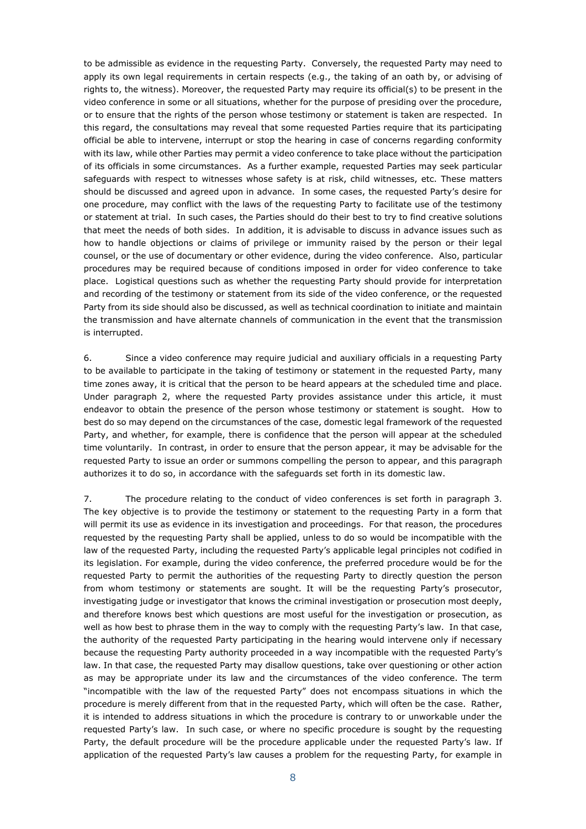to be admissible as evidence in the requesting Party. Conversely, the requested Party may need to apply its own legal requirements in certain respects (e.g., the taking of an oath by, or advising of rights to, the witness). Moreover, the requested Party may require its official(s) to be present in the video conference in some or all situations, whether for the purpose of presiding over the procedure, or to ensure that the rights of the person whose testimony or statement is taken are respected. In this regard, the consultations may reveal that some requested Parties require that its participating official be able to intervene, interrupt or stop the hearing in case of concerns regarding conformity with its law, while other Parties may permit a video conference to take place without the participation of its officials in some circumstances. As a further example, requested Parties may seek particular safeguards with respect to witnesses whose safety is at risk, child witnesses, etc. These matters should be discussed and agreed upon in advance. In some cases, the requested Party's desire for one procedure, may conflict with the laws of the requesting Party to facilitate use of the testimony or statement at trial. In such cases, the Parties should do their best to try to find creative solutions that meet the needs of both sides. In addition, it is advisable to discuss in advance issues such as how to handle objections or claims of privilege or immunity raised by the person or their legal counsel, or the use of documentary or other evidence, during the video conference. Also, particular procedures may be required because of conditions imposed in order for video conference to take place. Logistical questions such as whether the requesting Party should provide for interpretation and recording of the testimony or statement from its side of the video conference, or the requested Party from its side should also be discussed, as well as technical coordination to initiate and maintain the transmission and have alternate channels of communication in the event that the transmission is interrupted.

6. Since a video conference may require judicial and auxiliary officials in a requesting Party to be available to participate in the taking of testimony or statement in the requested Party, many time zones away, it is critical that the person to be heard appears at the scheduled time and place. Under paragraph 2, where the requested Party provides assistance under this article, it must endeavor to obtain the presence of the person whose testimony or statement is sought. How to best do so may depend on the circumstances of the case, domestic legal framework of the requested Party, and whether, for example, there is confidence that the person will appear at the scheduled time voluntarily. In contrast, in order to ensure that the person appear, it may be advisable for the requested Party to issue an order or summons compelling the person to appear, and this paragraph authorizes it to do so, in accordance with the safeguards set forth in its domestic law.

7. The procedure relating to the conduct of video conferences is set forth in paragraph 3. The key objective is to provide the testimony or statement to the requesting Party in a form that will permit its use as evidence in its investigation and proceedings. For that reason, the procedures requested by the requesting Party shall be applied, unless to do so would be incompatible with the law of the requested Party, including the requested Party's applicable legal principles not codified in its legislation. For example, during the video conference, the preferred procedure would be for the requested Party to permit the authorities of the requesting Party to directly question the person from whom testimony or statements are sought. It will be the requesting Party's prosecutor, investigating judge or investigator that knows the criminal investigation or prosecution most deeply, and therefore knows best which questions are most useful for the investigation or prosecution, as well as how best to phrase them in the way to comply with the requesting Party's law. In that case, the authority of the requested Party participating in the hearing would intervene only if necessary because the requesting Party authority proceeded in a way incompatible with the requested Party's law. In that case, the requested Party may disallow questions, take over questioning or other action as may be appropriate under its law and the circumstances of the video conference. The term "incompatible with the law of the requested Party" does not encompass situations in which the procedure is merely different from that in the requested Party, which will often be the case. Rather, it is intended to address situations in which the procedure is contrary to or unworkable under the requested Party's law. In such case, or where no specific procedure is sought by the requesting Party, the default procedure will be the procedure applicable under the requested Party's law. If application of the requested Party's law causes a problem for the requesting Party, for example in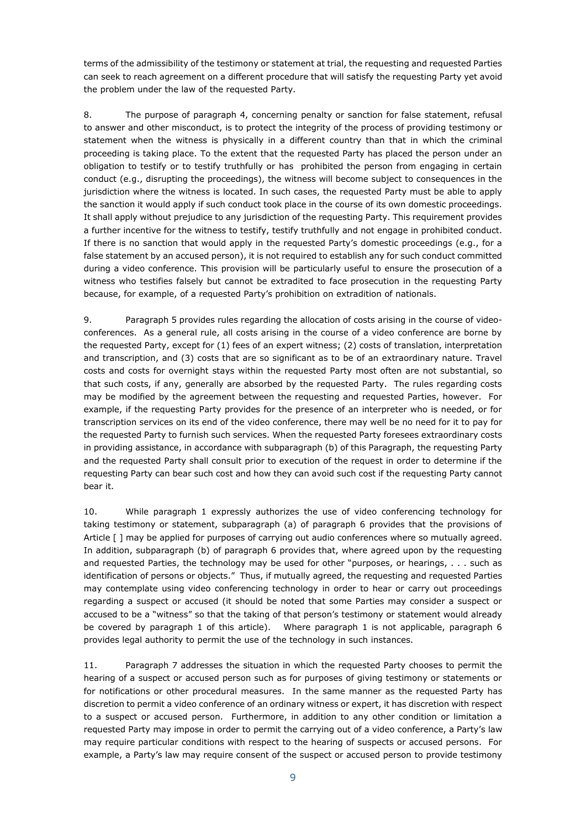terms of the admissibility of the testimony or statement at trial, the requesting and requested Parties can seek to reach agreement on a different procedure that will satisfy the requesting Party yet avoid the problem under the law of the requested Party.

8. The purpose of paragraph 4, concerning penalty or sanction for false statement, refusal to answer and other misconduct, is to protect the integrity of the process of providing testimony or statement when the witness is physically in a different country than that in which the criminal proceeding is taking place. To the extent that the requested Party has placed the person under an obligation to testify or to testify truthfully or has prohibited the person from engaging in certain conduct (e.g., disrupting the proceedings), the witness will become subject to consequences in the jurisdiction where the witness is located. In such cases, the requested Party must be able to apply the sanction it would apply if such conduct took place in the course of its own domestic proceedings. It shall apply without prejudice to any jurisdiction of the requesting Party. This requirement provides a further incentive for the witness to testify, testify truthfully and not engage in prohibited conduct. If there is no sanction that would apply in the requested Party's domestic proceedings (e.g., for a false statement by an accused person), it is not required to establish any for such conduct committed during a video conference. This provision will be particularly useful to ensure the prosecution of a witness who testifies falsely but cannot be extradited to face prosecution in the requesting Party because, for example, of a requested Party's prohibition on extradition of nationals.

9. Paragraph 5 provides rules regarding the allocation of costs arising in the course of videoconferences. As a general rule, all costs arising in the course of a video conference are borne by the requested Party, except for (1) fees of an expert witness; (2) costs of translation, interpretation and transcription, and (3) costs that are so significant as to be of an extraordinary nature. Travel costs and costs for overnight stays within the requested Party most often are not substantial, so that such costs, if any, generally are absorbed by the requested Party. The rules regarding costs may be modified by the agreement between the requesting and requested Parties, however. For example, if the requesting Party provides for the presence of an interpreter who is needed, or for transcription services on its end of the video conference, there may well be no need for it to pay for the requested Party to furnish such services. When the requested Party foresees extraordinary costs in providing assistance, in accordance with subparagraph (b) of this Paragraph, the requesting Party and the requested Party shall consult prior to execution of the request in order to determine if the requesting Party can bear such cost and how they can avoid such cost if the requesting Party cannot bear it.

10. While paragraph 1 expressly authorizes the use of video conferencing technology for taking testimony or statement, subparagraph (a) of paragraph 6 provides that the provisions of Article  $\lceil \cdot \rceil$  may be applied for purposes of carrying out audio conferences where so mutually agreed. In addition, subparagraph (b) of paragraph 6 provides that, where agreed upon by the requesting and requested Parties, the technology may be used for other "purposes, or hearings, . . . such as identification of persons or objects." Thus, if mutually agreed, the requesting and requested Parties may contemplate using video conferencing technology in order to hear or carry out proceedings regarding a suspect or accused (it should be noted that some Parties may consider a suspect or accused to be a "witness" so that the taking of that person's testimony or statement would already be covered by paragraph 1 of this article). Where paragraph 1 is not applicable, paragraph 6 provides legal authority to permit the use of the technology in such instances.

11. Paragraph 7 addresses the situation in which the requested Party chooses to permit the hearing of a suspect or accused person such as for purposes of giving testimony or statements or for notifications or other procedural measures. In the same manner as the requested Party has discretion to permit a video conference of an ordinary witness or expert, it has discretion with respect to a suspect or accused person. Furthermore, in addition to any other condition or limitation a requested Party may impose in order to permit the carrying out of a video conference, a Party's law may require particular conditions with respect to the hearing of suspects or accused persons. For example, a Party's law may require consent of the suspect or accused person to provide testimony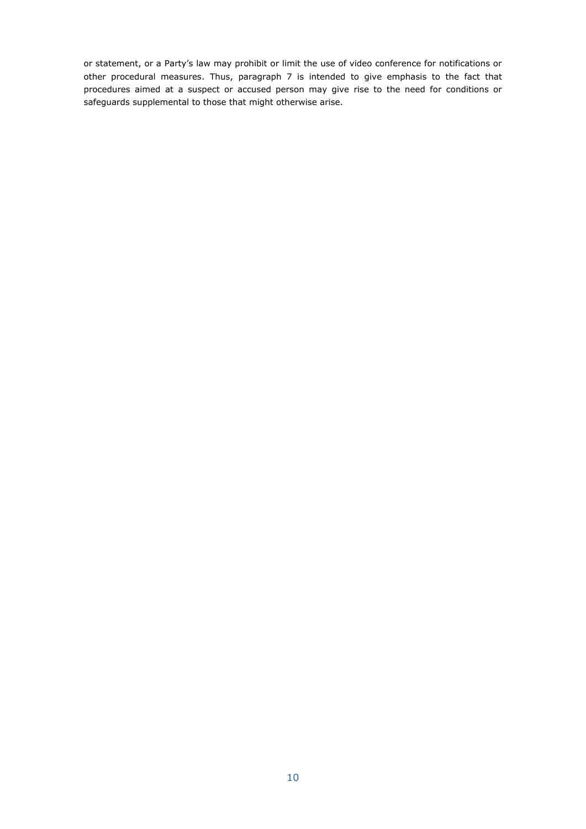or statement, or a Party's law may prohibit or limit the use of video conference for notifications or other procedural measures. Thus, paragraph 7 is intended to give emphasis to the fact that procedures aimed at a suspect or accused person may give rise to the need for conditions or safeguards supplemental to those that might otherwise arise.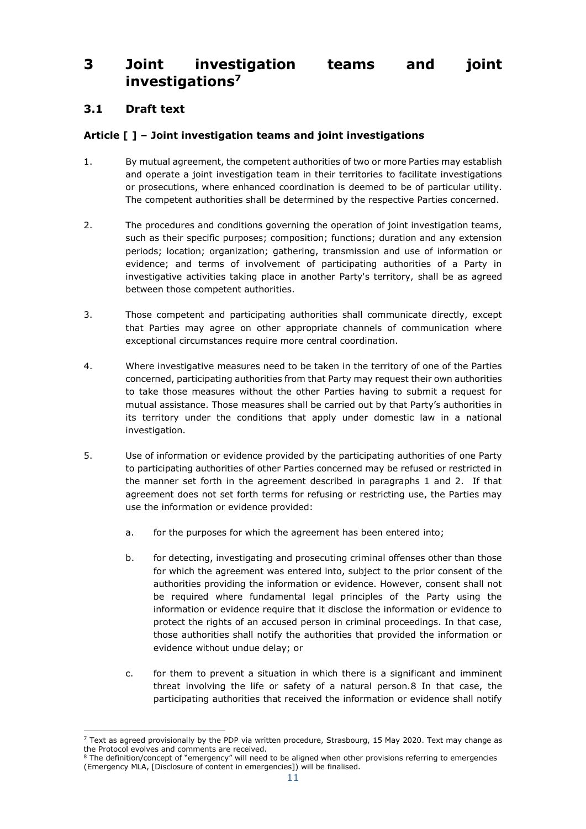## <span id="page-10-0"></span>**3 Joint investigation teams and joint investigations<sup>7</sup>**

## <span id="page-10-1"></span>**3.1 Draft text**

### **Article [ ] – Joint investigation teams and joint investigations**

- 1. By mutual agreement, the competent authorities of two or more Parties may establish and operate a joint investigation team in their territories to facilitate investigations or prosecutions, where enhanced coordination is deemed to be of particular utility. The competent authorities shall be determined by the respective Parties concerned.
- 2. The procedures and conditions governing the operation of joint investigation teams, such as their specific purposes; composition; functions; duration and any extension periods; location; organization; gathering, transmission and use of information or evidence; and terms of involvement of participating authorities of a Party in investigative activities taking place in another Party's territory, shall be as agreed between those competent authorities.
- 3. Those competent and participating authorities shall communicate directly, except that Parties may agree on other appropriate channels of communication where exceptional circumstances require more central coordination.
- 4. Where investigative measures need to be taken in the territory of one of the Parties concerned, participating authorities from that Party may request their own authorities to take those measures without the other Parties having to submit a request for mutual assistance. Those measures shall be carried out by that Party's authorities in its territory under the conditions that apply under domestic law in a national investigation.
- 5. Use of information or evidence provided by the participating authorities of one Party to participating authorities of other Parties concerned may be refused or restricted in the manner set forth in the agreement described in paragraphs 1 and 2. If that agreement does not set forth terms for refusing or restricting use, the Parties may use the information or evidence provided:
	- a. for the purposes for which the agreement has been entered into;
	- b. for detecting, investigating and prosecuting criminal offenses other than those for which the agreement was entered into, subject to the prior consent of the authorities providing the information or evidence. However, consent shall not be required where fundamental legal principles of the Party using the information or evidence require that it disclose the information or evidence to protect the rights of an accused person in criminal proceedings. In that case, those authorities shall notify the authorities that provided the information or evidence without undue delay; or
	- c. for them to prevent a situation in which there is a significant and imminent threat involving the life or safety of a natural person.8 In that case, the participating authorities that received the information or evidence shall notify

<sup>-</sup> $7$  Text as agreed provisionally by the PDP via written procedure, Strasbourg, 15 May 2020. Text may change as the Protocol evolves and comments are received.

<sup>&</sup>lt;sup>8</sup> The definition/concept of "emergency" will need to be aligned when other provisions referring to emergencies (Emergency MLA, [Disclosure of content in emergencies]) will be finalised.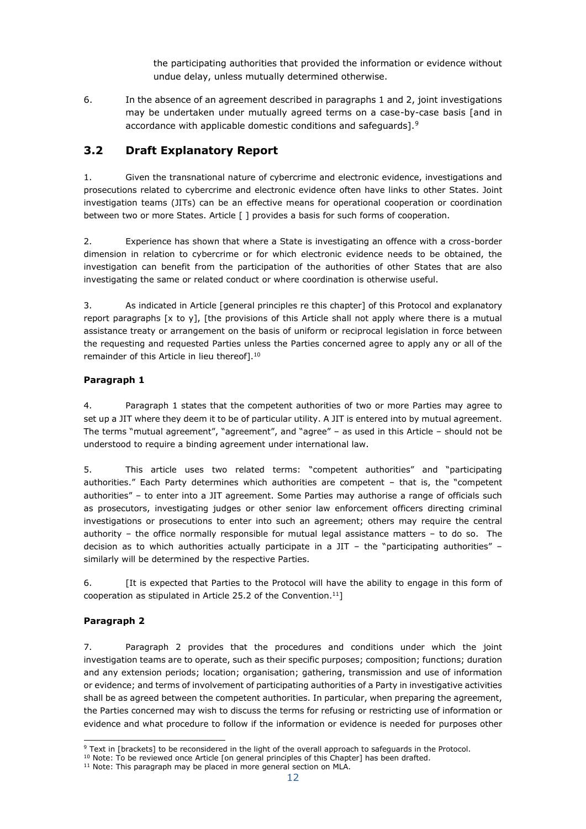the participating authorities that provided the information or evidence without undue delay, unless mutually determined otherwise.

6. In the absence of an agreement described in paragraphs 1 and 2, joint investigations may be undertaken under mutually agreed terms on a case-by-case basis [and in accordance with applicable domestic conditions and safeguards].<sup>9</sup>

## <span id="page-11-0"></span>**3.2 Draft Explanatory Report**

1. Given the transnational nature of cybercrime and electronic evidence, investigations and prosecutions related to cybercrime and electronic evidence often have links to other States. Joint investigation teams (JITs) can be an effective means for operational cooperation or coordination between two or more States. Article [ ] provides a basis for such forms of cooperation.

2. Experience has shown that where a State is investigating an offence with a cross-border dimension in relation to cybercrime or for which electronic evidence needs to be obtained, the investigation can benefit from the participation of the authorities of other States that are also investigating the same or related conduct or where coordination is otherwise useful.

3. As indicated in Article [general principles re this chapter] of this Protocol and explanatory report paragraphs  $[x \text{ to } y]$ , [the provisions of this Article shall not apply where there is a mutual assistance treaty or arrangement on the basis of uniform or reciprocal legislation in force between the requesting and requested Parties unless the Parties concerned agree to apply any or all of the remainder of this Article in lieu thereof].<sup>10</sup>

### **Paragraph 1**

4. Paragraph 1 states that the competent authorities of two or more Parties may agree to set up a JIT where they deem it to be of particular utility. A JIT is entered into by mutual agreement. The terms "mutual agreement", "agreement", and "agree" – as used in this Article – should not be understood to require a binding agreement under international law.

5. This article uses two related terms: "competent authorities" and "participating authorities." Each Party determines which authorities are competent – that is, the "competent authorities" – to enter into a JIT agreement. Some Parties may authorise a range of officials such as prosecutors, investigating judges or other senior law enforcement officers directing criminal investigations or prosecutions to enter into such an agreement; others may require the central authority – the office normally responsible for mutual legal assistance matters – to do so. The decision as to which authorities actually participate in a JIT – the "participating authorities" – similarly will be determined by the respective Parties.

6. [It is expected that Parties to the Protocol will have the ability to engage in this form of cooperation as stipulated in Article 25.2 of the Convention.<sup>11</sup>]

### **Paragraph 2**

7. Paragraph 2 provides that the procedures and conditions under which the joint investigation teams are to operate, such as their specific purposes; composition; functions; duration and any extension periods; location; organisation; gathering, transmission and use of information or evidence; and terms of involvement of participating authorities of a Party in investigative activities shall be as agreed between the competent authorities. In particular, when preparing the agreement, the Parties concerned may wish to discuss the terms for refusing or restricting use of information or evidence and what procedure to follow if the information or evidence is needed for purposes other

<sup>-</sup><sup>9</sup> Text in [brackets] to be reconsidered in the light of the overall approach to safeguards in the Protocol.

<sup>&</sup>lt;sup>10</sup> Note: To be reviewed once Article [on general principles of this Chapter] has been drafted.

<sup>&</sup>lt;sup>11</sup> Note: This paragraph may be placed in more general section on MLA.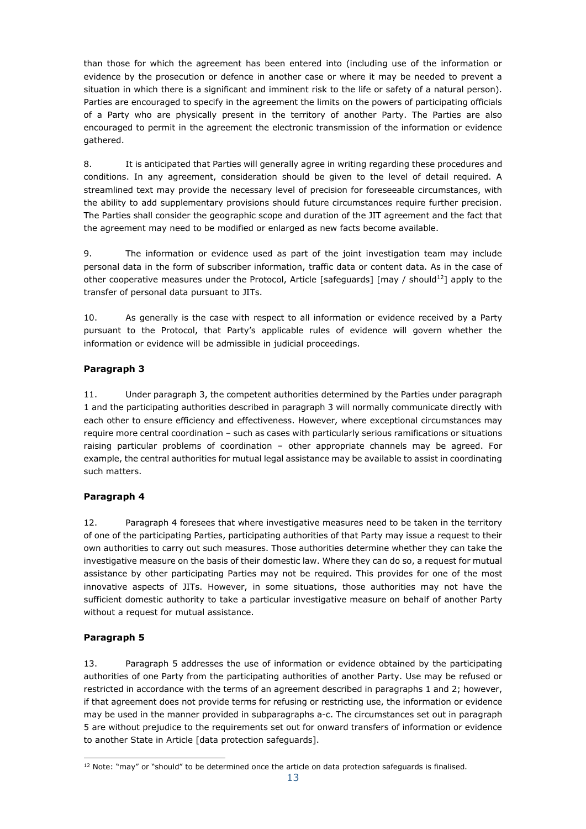than those for which the agreement has been entered into (including use of the information or evidence by the prosecution or defence in another case or where it may be needed to prevent a situation in which there is a significant and imminent risk to the life or safety of a natural person). Parties are encouraged to specify in the agreement the limits on the powers of participating officials of a Party who are physically present in the territory of another Party. The Parties are also encouraged to permit in the agreement the electronic transmission of the information or evidence gathered.

8. It is anticipated that Parties will generally agree in writing regarding these procedures and conditions. In any agreement, consideration should be given to the level of detail required. A streamlined text may provide the necessary level of precision for foreseeable circumstances, with the ability to add supplementary provisions should future circumstances require further precision. The Parties shall consider the geographic scope and duration of the JIT agreement and the fact that the agreement may need to be modified or enlarged as new facts become available.

9. The information or evidence used as part of the joint investigation team may include personal data in the form of subscriber information, traffic data or content data. As in the case of other cooperative measures under the Protocol, Article [safeguards] [may / should<sup>12</sup>] apply to the transfer of personal data pursuant to JITs.

10. As generally is the case with respect to all information or evidence received by a Party pursuant to the Protocol, that Party's applicable rules of evidence will govern whether the information or evidence will be admissible in judicial proceedings.

### **Paragraph 3**

11. Under paragraph 3, the competent authorities determined by the Parties under paragraph 1 and the participating authorities described in paragraph 3 will normally communicate directly with each other to ensure efficiency and effectiveness. However, where exceptional circumstances may require more central coordination – such as cases with particularly serious ramifications or situations raising particular problems of coordination – other appropriate channels may be agreed. For example, the central authorities for mutual legal assistance may be available to assist in coordinating such matters.

### **Paragraph 4**

12. Paragraph 4 foresees that where investigative measures need to be taken in the territory of one of the participating Parties, participating authorities of that Party may issue a request to their own authorities to carry out such measures. Those authorities determine whether they can take the investigative measure on the basis of their domestic law. Where they can do so, a request for mutual assistance by other participating Parties may not be required. This provides for one of the most innovative aspects of JITs. However, in some situations, those authorities may not have the sufficient domestic authority to take a particular investigative measure on behalf of another Party without a request for mutual assistance.

### **Paragraph 5**

13. Paragraph 5 addresses the use of information or evidence obtained by the participating authorities of one Party from the participating authorities of another Party. Use may be refused or restricted in accordance with the terms of an agreement described in paragraphs 1 and 2; however, if that agreement does not provide terms for refusing or restricting use, the information or evidence may be used in the manner provided in subparagraphs a-c. The circumstances set out in paragraph 5 are without prejudice to the requirements set out for onward transfers of information or evidence to another State in Article [data protection safeguards].

<sup>-</sup><sup>12</sup> Note: "may" or "should" to be determined once the article on data protection safeguards is finalised.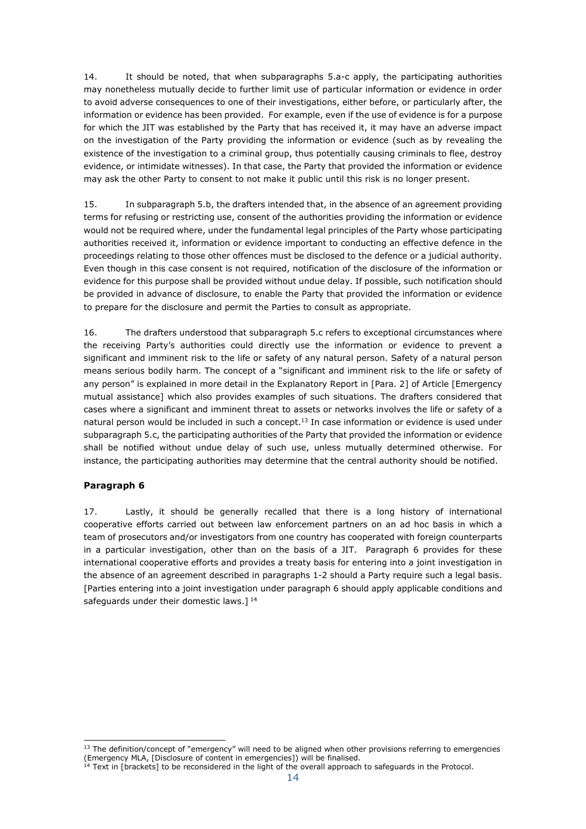14. It should be noted, that when subparagraphs 5.a-c apply, the participating authorities may nonetheless mutually decide to further limit use of particular information or evidence in order to avoid adverse consequences to one of their investigations, either before, or particularly after, the information or evidence has been provided. For example, even if the use of evidence is for a purpose for which the JIT was established by the Party that has received it, it may have an adverse impact on the investigation of the Party providing the information or evidence (such as by revealing the existence of the investigation to a criminal group, thus potentially causing criminals to flee, destroy evidence, or intimidate witnesses). In that case, the Party that provided the information or evidence may ask the other Party to consent to not make it public until this risk is no longer present.

15. In subparagraph 5.b, the drafters intended that, in the absence of an agreement providing terms for refusing or restricting use, consent of the authorities providing the information or evidence would not be required where, under the fundamental legal principles of the Party whose participating authorities received it, information or evidence important to conducting an effective defence in the proceedings relating to those other offences must be disclosed to the defence or a judicial authority. Even though in this case consent is not required, notification of the disclosure of the information or evidence for this purpose shall be provided without undue delay. If possible, such notification should be provided in advance of disclosure, to enable the Party that provided the information or evidence to prepare for the disclosure and permit the Parties to consult as appropriate.

16. The drafters understood that subparagraph 5.c refers to exceptional circumstances where the receiving Party's authorities could directly use the information or evidence to prevent a significant and imminent risk to the life or safety of any natural person. Safety of a natural person means serious bodily harm. The concept of a "significant and imminent risk to the life or safety of any person" is explained in more detail in the Explanatory Report in [Para. 2] of Article [Emergency mutual assistance] which also provides examples of such situations. The drafters considered that cases where a significant and imminent threat to assets or networks involves the life or safety of a natural person would be included in such a concept.<sup>13</sup> In case information or evidence is used under subparagraph 5.c, the participating authorities of the Party that provided the information or evidence shall be notified without undue delay of such use, unless mutually determined otherwise. For instance, the participating authorities may determine that the central authority should be notified.

### **Paragraph 6**

17. Lastly, it should be generally recalled that there is a long history of international cooperative efforts carried out between law enforcement partners on an ad hoc basis in which a team of prosecutors and/or investigators from one country has cooperated with foreign counterparts in a particular investigation, other than on the basis of a JIT. Paragraph 6 provides for these international cooperative efforts and provides a treaty basis for entering into a joint investigation in the absence of an agreement described in paragraphs 1-2 should a Party require such a legal basis. [Parties entering into a joint investigation under paragraph 6 should apply applicable conditions and safeguards under their domestic laws.]<sup>14</sup>

<sup>-</sup> $<sup>13</sup>$  The definition/concept of "emergency" will need to be aligned when other provisions referring to emergencies</sup> (Emergency MLA, [Disclosure of content in emergencies]) will be finalised.

Text in [brackets] to be reconsidered in the light of the overall approach to safeguards in the Protocol.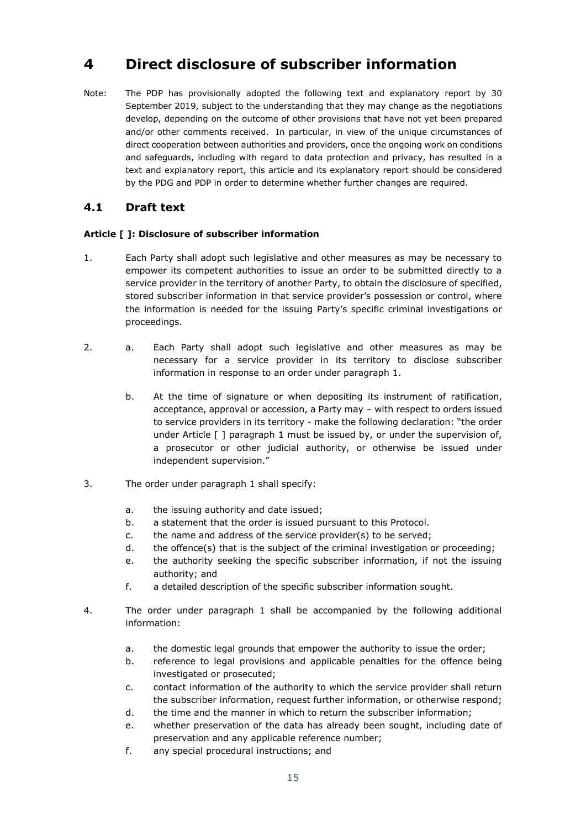## <span id="page-14-0"></span>**4 Direct disclosure of subscriber information**

Note: The PDP has provisionally adopted the following text and explanatory report by 30 September 2019, subject to the understanding that they may change as the negotiations develop, depending on the outcome of other provisions that have not yet been prepared and/or other comments received. In particular, in view of the unique circumstances of direct cooperation between authorities and providers, once the ongoing work on conditions and safeguards, including with regard to data protection and privacy, has resulted in a text and explanatory report, this article and its explanatory report should be considered by the PDG and PDP in order to determine whether further changes are required.

### <span id="page-14-1"></span>**4.1 Draft text**

### **Article [ ]: Disclosure of subscriber information**

- 1. Each Party shall adopt such legislative and other measures as may be necessary to empower its competent authorities to issue an order to be submitted directly to a service provider in the territory of another Party, to obtain the disclosure of specified, stored subscriber information in that service provider's possession or control, where the information is needed for the issuing Party's specific criminal investigations or proceedings.
- 2. a. Each Party shall adopt such legislative and other measures as may be necessary for a service provider in its territory to disclose subscriber information in response to an order under paragraph 1.
	- b. At the time of signature or when depositing its instrument of ratification, acceptance, approval or accession, a Party may – with respect to orders issued to service providers in its territory - make the following declaration: "the order under Article [ ] paragraph 1 must be issued by, or under the supervision of, a prosecutor or other judicial authority, or otherwise be issued under independent supervision."
- 3. The order under paragraph 1 shall specify:
	- a. the issuing authority and date issued;
	- b. a statement that the order is issued pursuant to this Protocol.
	- c. the name and address of the service provider(s) to be served;
	- d. the offence(s) that is the subject of the criminal investigation or proceeding;
	- e. the authority seeking the specific subscriber information, if not the issuing authority; and
	- f. a detailed description of the specific subscriber information sought.
- 4. The order under paragraph 1 shall be accompanied by the following additional information:
	- a. the domestic legal grounds that empower the authority to issue the order;
	- b. reference to legal provisions and applicable penalties for the offence being investigated or prosecuted;
	- c. contact information of the authority to which the service provider shall return the subscriber information, request further information, or otherwise respond;
	- d. the time and the manner in which to return the subscriber information;
	- e. whether preservation of the data has already been sought, including date of preservation and any applicable reference number;
	- f. any special procedural instructions; and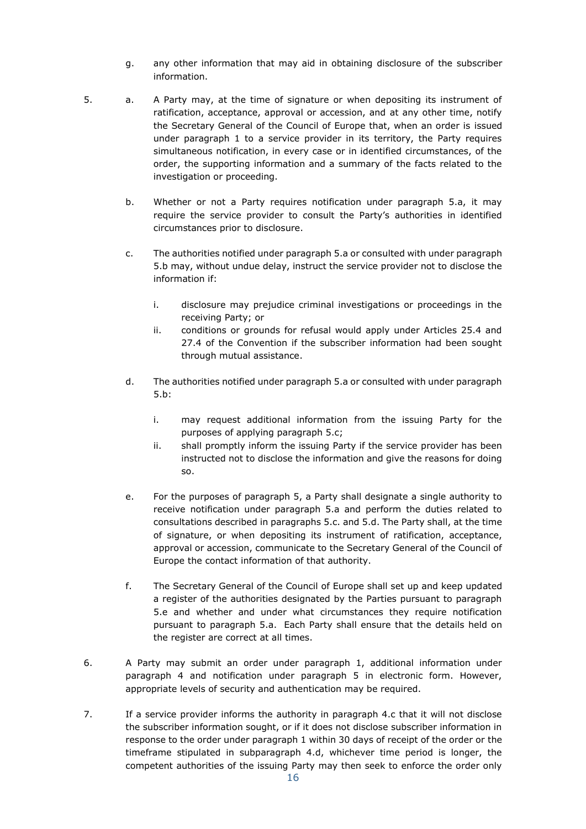- g. any other information that may aid in obtaining disclosure of the subscriber information.
- 5. a. A Party may, at the time of signature or when depositing its instrument of ratification, acceptance, approval or accession, and at any other time, notify the Secretary General of the Council of Europe that, when an order is issued under paragraph 1 to a service provider in its territory, the Party requires simultaneous notification, in every case or in identified circumstances, of the order, the supporting information and a summary of the facts related to the investigation or proceeding.
	- b. Whether or not a Party requires notification under paragraph 5.a, it may require the service provider to consult the Party's authorities in identified circumstances prior to disclosure.
	- c. The authorities notified under paragraph 5.a or consulted with under paragraph 5.b may, without undue delay, instruct the service provider not to disclose the information if:
		- i. disclosure may prejudice criminal investigations or proceedings in the receiving Party; or
		- ii. conditions or grounds for refusal would apply under Articles 25.4 and 27.4 of the Convention if the subscriber information had been sought through mutual assistance.
	- d. The authorities notified under paragraph 5.a or consulted with under paragraph 5.b:
		- i. may request additional information from the issuing Party for the purposes of applying paragraph 5.c;
		- ii. shall promptly inform the issuing Party if the service provider has been instructed not to disclose the information and give the reasons for doing so.
	- e. For the purposes of paragraph 5, a Party shall designate a single authority to receive notification under paragraph 5.a and perform the duties related to consultations described in paragraphs 5.c. and 5.d. The Party shall, at the time of signature, or when depositing its instrument of ratification, acceptance, approval or accession, communicate to the Secretary General of the Council of Europe the contact information of that authority.
	- f. The Secretary General of the Council of Europe shall set up and keep updated a register of the authorities designated by the Parties pursuant to paragraph 5.e and whether and under what circumstances they require notification pursuant to paragraph 5.a. Each Party shall ensure that the details held on the register are correct at all times.
- 6. A Party may submit an order under paragraph 1, additional information under paragraph 4 and notification under paragraph 5 in electronic form. However, appropriate levels of security and authentication may be required.
- 7. If a service provider informs the authority in paragraph 4.c that it will not disclose the subscriber information sought, or if it does not disclose subscriber information in response to the order under paragraph 1 within 30 days of receipt of the order or the timeframe stipulated in subparagraph 4.d, whichever time period is longer, the competent authorities of the issuing Party may then seek to enforce the order only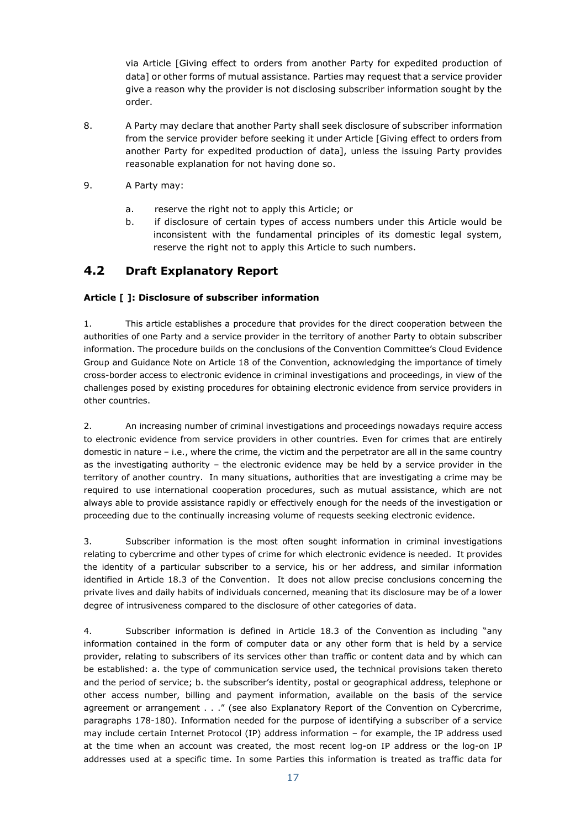via Article [Giving effect to orders from another Party for expedited production of data] or other forms of mutual assistance. Parties may request that a service provider give a reason why the provider is not disclosing subscriber information sought by the order.

- 8. A Party may declare that another Party shall seek disclosure of subscriber information from the service provider before seeking it under Article [Giving effect to orders from another Party for expedited production of data], unless the issuing Party provides reasonable explanation for not having done so.
- 9. A Party may:
	- a. reserve the right not to apply this Article; or
	- b. if disclosure of certain types of access numbers under this Article would be inconsistent with the fundamental principles of its domestic legal system, reserve the right not to apply this Article to such numbers.

### <span id="page-16-0"></span>**4.2 Draft Explanatory Report**

### **Article [ ]: Disclosure of subscriber information**

1. This article establishes a procedure that provides for the direct cooperation between the authorities of one Party and a service provider in the territory of another Party to obtain subscriber information. The procedure builds on the conclusions of the Convention Committee's Cloud Evidence Group and Guidance Note on Article 18 of the Convention, acknowledging the importance of timely cross-border access to electronic evidence in criminal investigations and proceedings, in view of the challenges posed by existing procedures for obtaining electronic evidence from service providers in other countries.

2. An increasing number of criminal investigations and proceedings nowadays require access to electronic evidence from service providers in other countries. Even for crimes that are entirely domestic in nature – i.e., where the crime, the victim and the perpetrator are all in the same country as the investigating authority – the electronic evidence may be held by a service provider in the territory of another country. In many situations, authorities that are investigating a crime may be required to use international cooperation procedures, such as mutual assistance, which are not always able to provide assistance rapidly or effectively enough for the needs of the investigation or proceeding due to the continually increasing volume of requests seeking electronic evidence.

3. Subscriber information is the most often sought information in criminal investigations relating to cybercrime and other types of crime for which electronic evidence is needed. It provides the identity of a particular subscriber to a service, his or her address, and similar information identified in Article 18.3 of the Convention. It does not allow precise conclusions concerning the private lives and daily habits of individuals concerned, meaning that its disclosure may be of a lower degree of intrusiveness compared to the disclosure of other categories of data.

4. Subscriber information is defined in Article 18.3 of the Convention as including "any information contained in the form of computer data or any other form that is held by a service provider, relating to subscribers of its services other than traffic or content data and by which can be established: a. the type of communication service used, the technical provisions taken thereto and the period of service; b. the subscriber's identity, postal or geographical address, telephone or other access number, billing and payment information, available on the basis of the service agreement or arrangement . . ." (see also Explanatory Report of the Convention on Cybercrime, paragraphs 178-180). Information needed for the purpose of identifying a subscriber of a service may include certain Internet Protocol (IP) address information – for example, the IP address used at the time when an account was created, the most recent log-on IP address or the log-on IP addresses used at a specific time. In some Parties this information is treated as traffic data for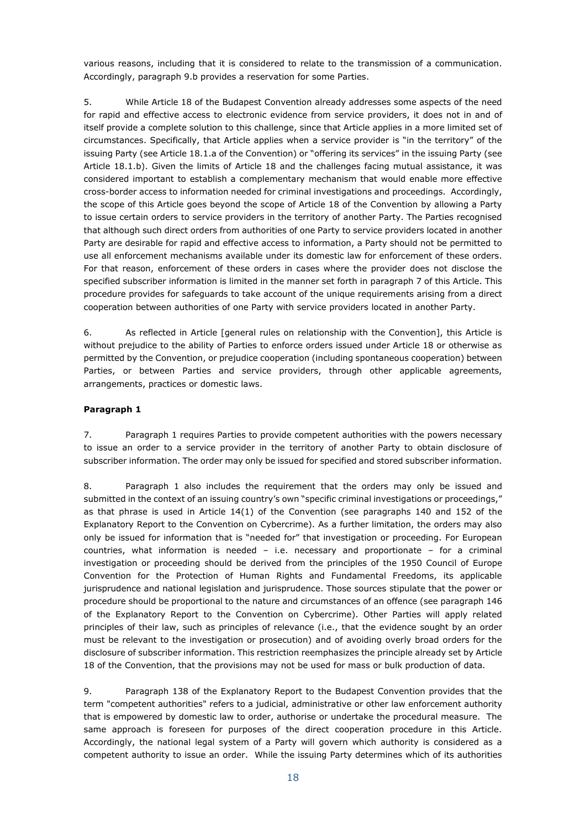various reasons, including that it is considered to relate to the transmission of a communication. Accordingly, paragraph 9.b provides a reservation for some Parties.

5. While Article 18 of the Budapest Convention already addresses some aspects of the need for rapid and effective access to electronic evidence from service providers, it does not in and of itself provide a complete solution to this challenge, since that Article applies in a more limited set of circumstances. Specifically, that Article applies when a service provider is "in the territory" of the issuing Party (see Article 18.1.a of the Convention) or "offering its services" in the issuing Party (see Article 18.1.b). Given the limits of Article 18 and the challenges facing mutual assistance, it was considered important to establish a complementary mechanism that would enable more effective cross-border access to information needed for criminal investigations and proceedings. Accordingly, the scope of this Article goes beyond the scope of Article 18 of the Convention by allowing a Party to issue certain orders to service providers in the territory of another Party. The Parties recognised that although such direct orders from authorities of one Party to service providers located in another Party are desirable for rapid and effective access to information, a Party should not be permitted to use all enforcement mechanisms available under its domestic law for enforcement of these orders. For that reason, enforcement of these orders in cases where the provider does not disclose the specified subscriber information is limited in the manner set forth in paragraph 7 of this Article. This procedure provides for safeguards to take account of the unique requirements arising from a direct cooperation between authorities of one Party with service providers located in another Party.

6. As reflected in Article [general rules on relationship with the Convention], this Article is without prejudice to the ability of Parties to enforce orders issued under Article 18 or otherwise as permitted by the Convention, or prejudice cooperation (including spontaneous cooperation) between Parties, or between Parties and service providers, through other applicable agreements, arrangements, practices or domestic laws.

#### **Paragraph 1**

7. Paragraph 1 requires Parties to provide competent authorities with the powers necessary to issue an order to a service provider in the territory of another Party to obtain disclosure of subscriber information. The order may only be issued for specified and stored subscriber information.

8. Paragraph 1 also includes the requirement that the orders may only be issued and submitted in the context of an issuing country's own "specific criminal investigations or proceedings," as that phrase is used in Article 14(1) of the Convention (see paragraphs 140 and 152 of the Explanatory Report to the Convention on Cybercrime). As a further limitation, the orders may also only be issued for information that is "needed for" that investigation or proceeding. For European countries, what information is needed – i.e. necessary and proportionate – for a criminal investigation or proceeding should be derived from the principles of the 1950 Council of Europe Convention for the Protection of Human Rights and Fundamental Freedoms, its applicable jurisprudence and national legislation and jurisprudence. Those sources stipulate that the power or procedure should be proportional to the nature and circumstances of an offence (see paragraph 146 of the Explanatory Report to the Convention on Cybercrime). Other Parties will apply related principles of their law, such as principles of relevance (i.e., that the evidence sought by an order must be relevant to the investigation or prosecution) and of avoiding overly broad orders for the disclosure of subscriber information. This restriction reemphasizes the principle already set by Article 18 of the Convention, that the provisions may not be used for mass or bulk production of data.

9. Paragraph 138 of the Explanatory Report to the Budapest Convention provides that the term "competent authorities" refers to a judicial, administrative or other law enforcement authority that is empowered by domestic law to order, authorise or undertake the procedural measure. The same approach is foreseen for purposes of the direct cooperation procedure in this Article. Accordingly, the national legal system of a Party will govern which authority is considered as a competent authority to issue an order. While the issuing Party determines which of its authorities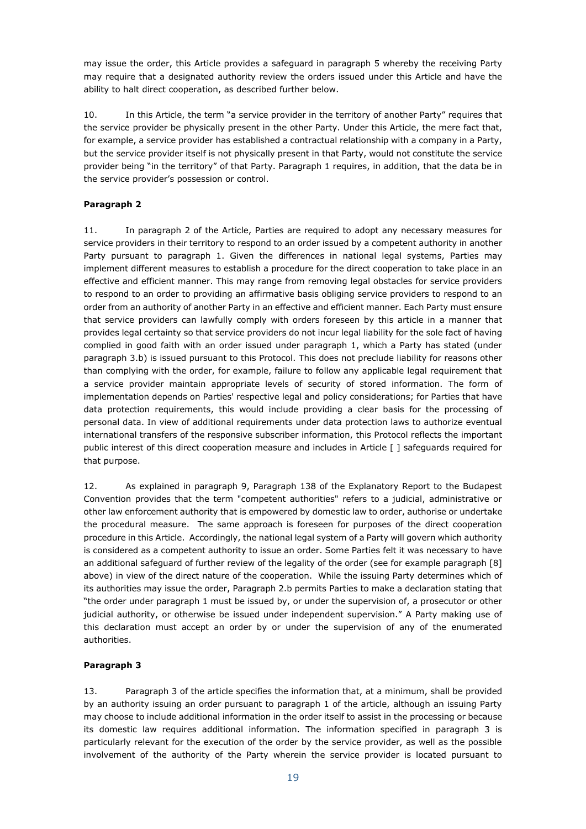may issue the order, this Article provides a safeguard in paragraph 5 whereby the receiving Party may require that a designated authority review the orders issued under this Article and have the ability to halt direct cooperation, as described further below.

10. In this Article, the term "a service provider in the territory of another Party" requires that the service provider be physically present in the other Party. Under this Article, the mere fact that, for example, a service provider has established a contractual relationship with a company in a Party, but the service provider itself is not physically present in that Party, would not constitute the service provider being "in the territory" of that Party. Paragraph 1 requires, in addition, that the data be in the service provider's possession or control.

### **Paragraph 2**

11. In paragraph 2 of the Article, Parties are required to adopt any necessary measures for service providers in their territory to respond to an order issued by a competent authority in another Party pursuant to paragraph 1. Given the differences in national legal systems, Parties may implement different measures to establish a procedure for the direct cooperation to take place in an effective and efficient manner. This may range from removing legal obstacles for service providers to respond to an order to providing an affirmative basis obliging service providers to respond to an order from an authority of another Party in an effective and efficient manner. Each Party must ensure that service providers can lawfully comply with orders foreseen by this article in a manner that provides legal certainty so that service providers do not incur legal liability for the sole fact of having complied in good faith with an order issued under paragraph 1, which a Party has stated (under paragraph 3.b) is issued pursuant to this Protocol. This does not preclude liability for reasons other than complying with the order, for example, failure to follow any applicable legal requirement that a service provider maintain appropriate levels of security of stored information. The form of implementation depends on Parties' respective legal and policy considerations; for Parties that have data protection requirements, this would include providing a clear basis for the processing of personal data. In view of additional requirements under data protection laws to authorize eventual international transfers of the responsive subscriber information, this Protocol reflects the important public interest of this direct cooperation measure and includes in Article [ ] safeguards required for that purpose.

12. As explained in paragraph 9, Paragraph 138 of the Explanatory Report to the Budapest Convention provides that the term "competent authorities" refers to a judicial, administrative or other law enforcement authority that is empowered by domestic law to order, authorise or undertake the procedural measure. The same approach is foreseen for purposes of the direct cooperation procedure in this Article. Accordingly, the national legal system of a Party will govern which authority is considered as a competent authority to issue an order. Some Parties felt it was necessary to have an additional safeguard of further review of the legality of the order (see for example paragraph [8] above) in view of the direct nature of the cooperation. While the issuing Party determines which of its authorities may issue the order, Paragraph 2.b permits Parties to make a declaration stating that "the order under paragraph 1 must be issued by, or under the supervision of, a prosecutor or other judicial authority, or otherwise be issued under independent supervision." A Party making use of this declaration must accept an order by or under the supervision of any of the enumerated authorities.

### **Paragraph 3**

13. Paragraph 3 of the article specifies the information that, at a minimum, shall be provided by an authority issuing an order pursuant to paragraph 1 of the article, although an issuing Party may choose to include additional information in the order itself to assist in the processing or because its domestic law requires additional information. The information specified in paragraph 3 is particularly relevant for the execution of the order by the service provider, as well as the possible involvement of the authority of the Party wherein the service provider is located pursuant to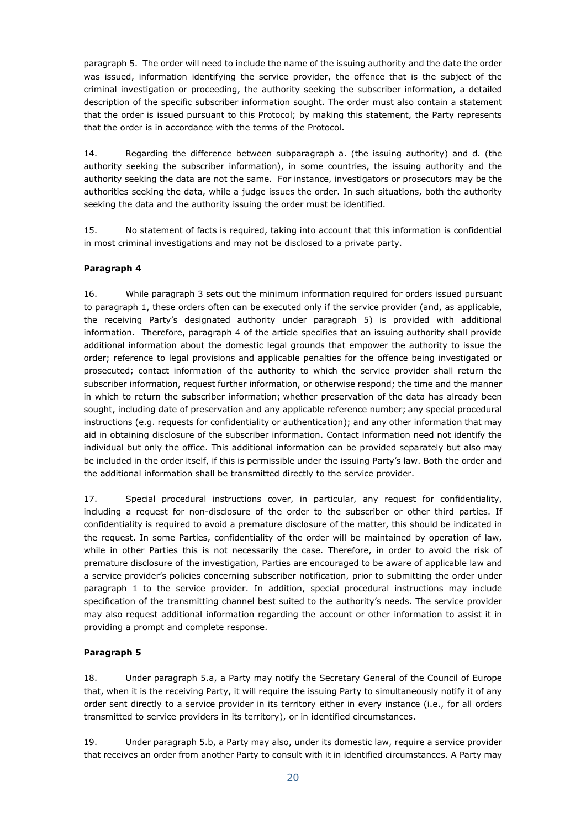paragraph 5. The order will need to include the name of the issuing authority and the date the order was issued, information identifying the service provider, the offence that is the subject of the criminal investigation or proceeding, the authority seeking the subscriber information, a detailed description of the specific subscriber information sought. The order must also contain a statement that the order is issued pursuant to this Protocol; by making this statement, the Party represents that the order is in accordance with the terms of the Protocol.

14. Regarding the difference between subparagraph a. (the issuing authority) and d. (the authority seeking the subscriber information), in some countries, the issuing authority and the authority seeking the data are not the same. For instance, investigators or prosecutors may be the authorities seeking the data, while a judge issues the order. In such situations, both the authority seeking the data and the authority issuing the order must be identified.

15. No statement of facts is required, taking into account that this information is confidential in most criminal investigations and may not be disclosed to a private party.

### **Paragraph 4**

16. While paragraph 3 sets out the minimum information required for orders issued pursuant to paragraph 1, these orders often can be executed only if the service provider (and, as applicable, the receiving Party's designated authority under paragraph 5) is provided with additional information. Therefore, paragraph 4 of the article specifies that an issuing authority shall provide additional information about the domestic legal grounds that empower the authority to issue the order; reference to legal provisions and applicable penalties for the offence being investigated or prosecuted; contact information of the authority to which the service provider shall return the subscriber information, request further information, or otherwise respond; the time and the manner in which to return the subscriber information; whether preservation of the data has already been sought, including date of preservation and any applicable reference number; any special procedural instructions (e.g. requests for confidentiality or authentication); and any other information that may aid in obtaining disclosure of the subscriber information. Contact information need not identify the individual but only the office. This additional information can be provided separately but also may be included in the order itself, if this is permissible under the issuing Party's law. Both the order and the additional information shall be transmitted directly to the service provider.

17. Special procedural instructions cover, in particular, any request for confidentiality, including a request for non-disclosure of the order to the subscriber or other third parties. If confidentiality is required to avoid a premature disclosure of the matter, this should be indicated in the request. In some Parties, confidentiality of the order will be maintained by operation of law, while in other Parties this is not necessarily the case. Therefore, in order to avoid the risk of premature disclosure of the investigation, Parties are encouraged to be aware of applicable law and a service provider's policies concerning subscriber notification, prior to submitting the order under paragraph 1 to the service provider. In addition, special procedural instructions may include specification of the transmitting channel best suited to the authority's needs. The service provider may also request additional information regarding the account or other information to assist it in providing a prompt and complete response.

### **Paragraph 5**

18. Under paragraph 5.a, a Party may notify the Secretary General of the Council of Europe that, when it is the receiving Party, it will require the issuing Party to simultaneously notify it of any order sent directly to a service provider in its territory either in every instance (i.e., for all orders transmitted to service providers in its territory), or in identified circumstances.

19. Under paragraph 5.b, a Party may also, under its domestic law, require a service provider that receives an order from another Party to consult with it in identified circumstances. A Party may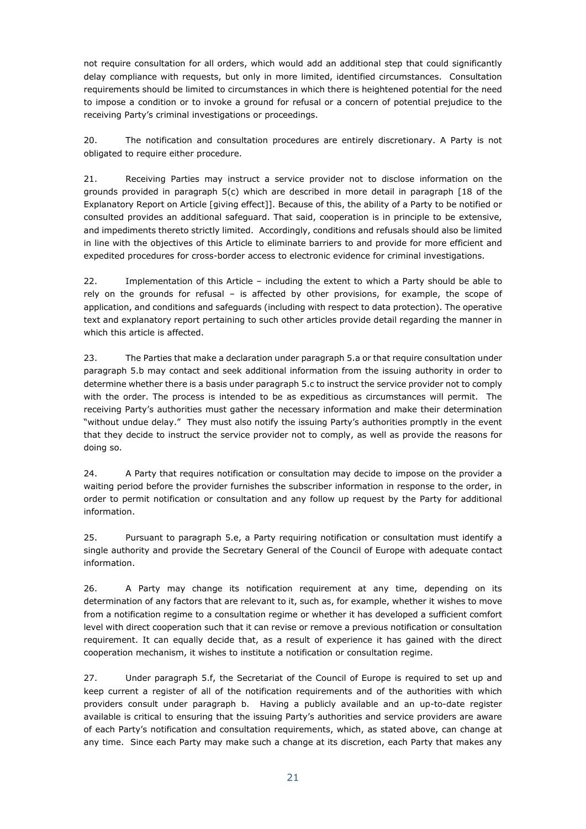not require consultation for all orders, which would add an additional step that could significantly delay compliance with requests, but only in more limited, identified circumstances. Consultation requirements should be limited to circumstances in which there is heightened potential for the need to impose a condition or to invoke a ground for refusal or a concern of potential prejudice to the receiving Party's criminal investigations or proceedings.

20. The notification and consultation procedures are entirely discretionary. A Party is not obligated to require either procedure.

21. Receiving Parties may instruct a service provider not to disclose information on the grounds provided in paragraph 5(c) which are described in more detail in paragraph [18 of the Explanatory Report on Article [giving effect]]. Because of this, the ability of a Party to be notified or consulted provides an additional safeguard. That said, cooperation is in principle to be extensive, and impediments thereto strictly limited. Accordingly, conditions and refusals should also be limited in line with the objectives of this Article to eliminate barriers to and provide for more efficient and expedited procedures for cross-border access to electronic evidence for criminal investigations.

22. Implementation of this Article – including the extent to which a Party should be able to rely on the grounds for refusal – is affected by other provisions, for example, the scope of application, and conditions and safeguards (including with respect to data protection). The operative text and explanatory report pertaining to such other articles provide detail regarding the manner in which this article is affected.

23. The Parties that make a declaration under paragraph 5.a or that require consultation under paragraph 5.b may contact and seek additional information from the issuing authority in order to determine whether there is a basis under paragraph 5.c to instruct the service provider not to comply with the order. The process is intended to be as expeditious as circumstances will permit. The receiving Party's authorities must gather the necessary information and make their determination "without undue delay." They must also notify the issuing Party's authorities promptly in the event that they decide to instruct the service provider not to comply, as well as provide the reasons for doing so.

24. A Party that requires notification or consultation may decide to impose on the provider a waiting period before the provider furnishes the subscriber information in response to the order, in order to permit notification or consultation and any follow up request by the Party for additional information.

25. Pursuant to paragraph 5.e, a Party requiring notification or consultation must identify a single authority and provide the Secretary General of the Council of Europe with adequate contact information.

26. A Party may change its notification requirement at any time, depending on its determination of any factors that are relevant to it, such as, for example, whether it wishes to move from a notification regime to a consultation regime or whether it has developed a sufficient comfort level with direct cooperation such that it can revise or remove a previous notification or consultation requirement. It can equally decide that, as a result of experience it has gained with the direct cooperation mechanism, it wishes to institute a notification or consultation regime.

27. Under paragraph 5.f, the Secretariat of the Council of Europe is required to set up and keep current a register of all of the notification requirements and of the authorities with which providers consult under paragraph b. Having a publicly available and an up-to-date register available is critical to ensuring that the issuing Party's authorities and service providers are aware of each Party's notification and consultation requirements, which, as stated above, can change at any time. Since each Party may make such a change at its discretion, each Party that makes any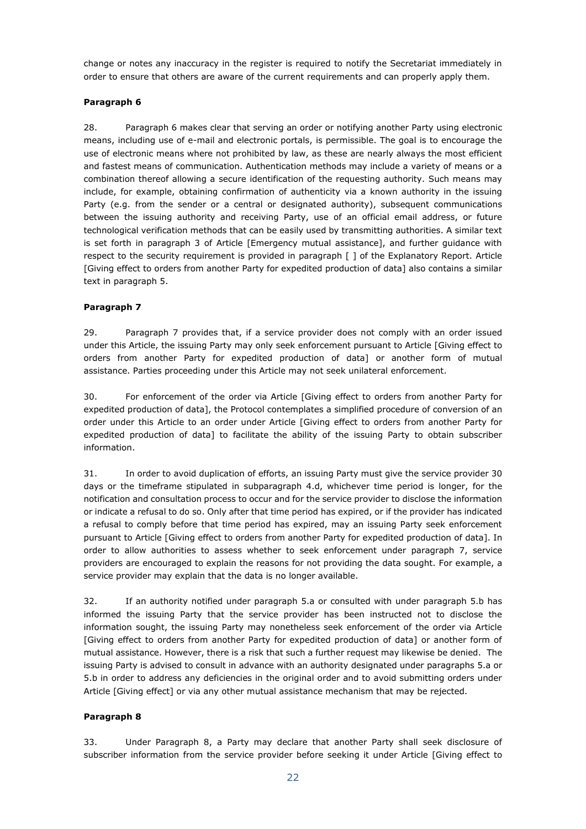change or notes any inaccuracy in the register is required to notify the Secretariat immediately in order to ensure that others are aware of the current requirements and can properly apply them.

#### **Paragraph 6**

28. Paragraph 6 makes clear that serving an order or notifying another Party using electronic means, including use of e-mail and electronic portals, is permissible. The goal is to encourage the use of electronic means where not prohibited by law, as these are nearly always the most efficient and fastest means of communication. Authentication methods may include a variety of means or a combination thereof allowing a secure identification of the requesting authority. Such means may include, for example, obtaining confirmation of authenticity via a known authority in the issuing Party (e.g. from the sender or a central or designated authority), subsequent communications between the issuing authority and receiving Party, use of an official email address, or future technological verification methods that can be easily used by transmitting authorities. A similar text is set forth in paragraph 3 of Article [Emergency mutual assistance], and further guidance with respect to the security requirement is provided in paragraph [ ] of the Explanatory Report. Article [Giving effect to orders from another Party for expedited production of data] also contains a similar text in paragraph 5.

#### **Paragraph 7**

29. Paragraph 7 provides that, if a service provider does not comply with an order issued under this Article, the issuing Party may only seek enforcement pursuant to Article [Giving effect to orders from another Party for expedited production of data] or another form of mutual assistance. Parties proceeding under this Article may not seek unilateral enforcement.

30. For enforcement of the order via Article [Giving effect to orders from another Party for expedited production of data], the Protocol contemplates a simplified procedure of conversion of an order under this Article to an order under Article [Giving effect to orders from another Party for expedited production of data] to facilitate the ability of the issuing Party to obtain subscriber information.

31. In order to avoid duplication of efforts, an issuing Party must give the service provider 30 days or the timeframe stipulated in subparagraph 4.d, whichever time period is longer, for the notification and consultation process to occur and for the service provider to disclose the information or indicate a refusal to do so. Only after that time period has expired, or if the provider has indicated a refusal to comply before that time period has expired, may an issuing Party seek enforcement pursuant to Article [Giving effect to orders from another Party for expedited production of data]. In order to allow authorities to assess whether to seek enforcement under paragraph 7, service providers are encouraged to explain the reasons for not providing the data sought. For example, a service provider may explain that the data is no longer available.

32. If an authority notified under paragraph 5.a or consulted with under paragraph 5.b has informed the issuing Party that the service provider has been instructed not to disclose the information sought, the issuing Party may nonetheless seek enforcement of the order via Article [Giving effect to orders from another Party for expedited production of data] or another form of mutual assistance. However, there is a risk that such a further request may likewise be denied. The issuing Party is advised to consult in advance with an authority designated under paragraphs 5.a or 5.b in order to address any deficiencies in the original order and to avoid submitting orders under Article [Giving effect] or via any other mutual assistance mechanism that may be rejected.

### **Paragraph 8**

33. Under Paragraph 8, a Party may declare that another Party shall seek disclosure of subscriber information from the service provider before seeking it under Article [Giving effect to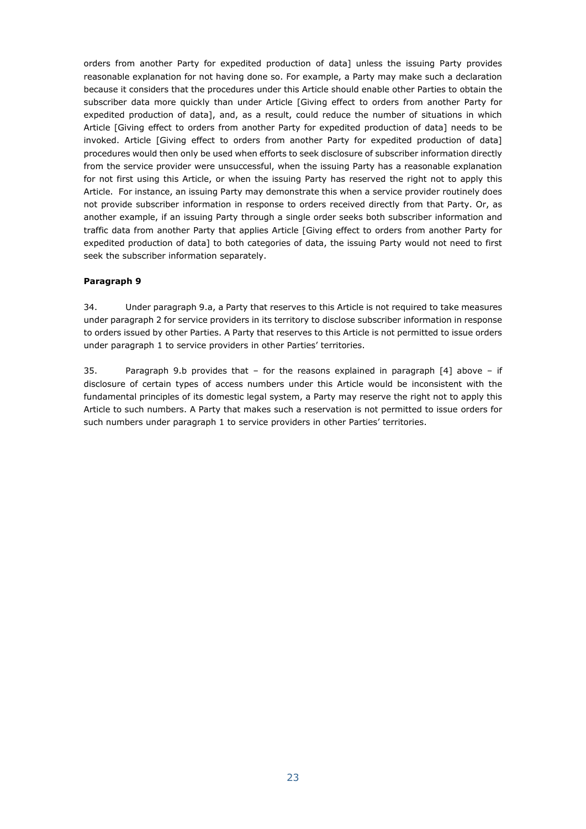orders from another Party for expedited production of data] unless the issuing Party provides reasonable explanation for not having done so. For example, a Party may make such a declaration because it considers that the procedures under this Article should enable other Parties to obtain the subscriber data more quickly than under Article [Giving effect to orders from another Party for expedited production of data], and, as a result, could reduce the number of situations in which Article [Giving effect to orders from another Party for expedited production of data] needs to be invoked. Article [Giving effect to orders from another Party for expedited production of data] procedures would then only be used when efforts to seek disclosure of subscriber information directly from the service provider were unsuccessful, when the issuing Party has a reasonable explanation for not first using this Article, or when the issuing Party has reserved the right not to apply this Article. For instance, an issuing Party may demonstrate this when a service provider routinely does not provide subscriber information in response to orders received directly from that Party. Or, as another example, if an issuing Party through a single order seeks both subscriber information and traffic data from another Party that applies Article [Giving effect to orders from another Party for expedited production of data] to both categories of data, the issuing Party would not need to first seek the subscriber information separately.

#### **Paragraph 9**

34. Under paragraph 9.a, a Party that reserves to this Article is not required to take measures under paragraph 2 for service providers in its territory to disclose subscriber information in response to orders issued by other Parties. A Party that reserves to this Article is not permitted to issue orders under paragraph 1 to service providers in other Parties' territories.

35. Paragraph 9.b provides that – for the reasons explained in paragraph [4] above – if disclosure of certain types of access numbers under this Article would be inconsistent with the fundamental principles of its domestic legal system, a Party may reserve the right not to apply this Article to such numbers. A Party that makes such a reservation is not permitted to issue orders for such numbers under paragraph 1 to service providers in other Parties' territories.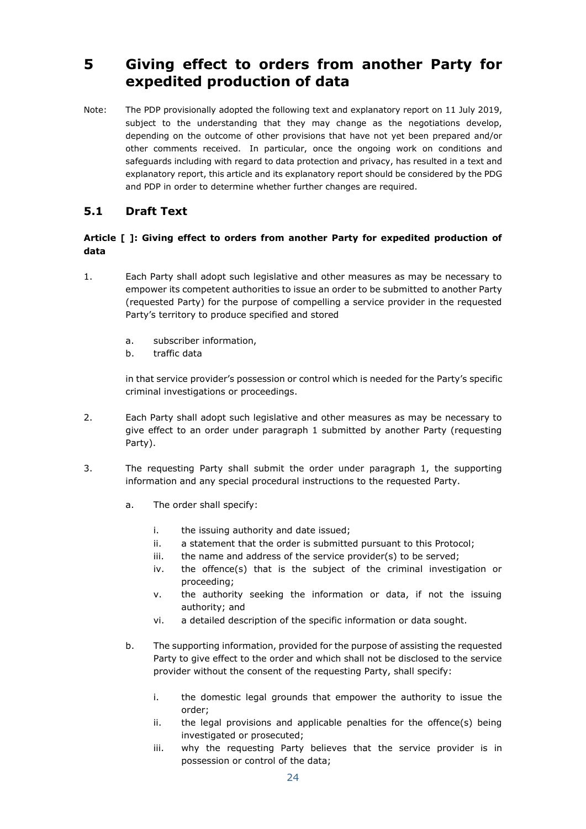## <span id="page-23-0"></span>**5 Giving effect to orders from another Party for expedited production of data**

Note: The PDP provisionally adopted the following text and explanatory report on 11 July 2019, subject to the understanding that they may change as the negotiations develop, depending on the outcome of other provisions that have not yet been prepared and/or other comments received. In particular, once the ongoing work on conditions and safeguards including with regard to data protection and privacy, has resulted in a text and explanatory report, this article and its explanatory report should be considered by the PDG and PDP in order to determine whether further changes are required.

## <span id="page-23-1"></span>**5.1 Draft Text**

### **Article [ ]: Giving effect to orders from another Party for expedited production of data**

- 1. Each Party shall adopt such legislative and other measures as may be necessary to empower its competent authorities to issue an order to be submitted to another Party (requested Party) for the purpose of compelling a service provider in the requested Party's territory to produce specified and stored
	- a. subscriber information,
	- b. traffic data

in that service provider's possession or control which is needed for the Party's specific criminal investigations or proceedings.

- 2. Each Party shall adopt such legislative and other measures as may be necessary to give effect to an order under paragraph 1 submitted by another Party (requesting Party).
- 3. The requesting Party shall submit the order under paragraph 1, the supporting information and any special procedural instructions to the requested Party.
	- a. The order shall specify:
		- i. the issuing authority and date issued;
		- ii. a statement that the order is submitted pursuant to this Protocol;
		- iii. the name and address of the service provider(s) to be served;
		- iv. the offence(s) that is the subject of the criminal investigation or proceeding;
		- v. the authority seeking the information or data, if not the issuing authority; and
		- vi. a detailed description of the specific information or data sought.
	- b. The supporting information, provided for the purpose of assisting the requested Party to give effect to the order and which shall not be disclosed to the service provider without the consent of the requesting Party, shall specify:
		- i. the domestic legal grounds that empower the authority to issue the order;
		- ii. the legal provisions and applicable penalties for the offence(s) being investigated or prosecuted;
		- iii. why the requesting Party believes that the service provider is in possession or control of the data;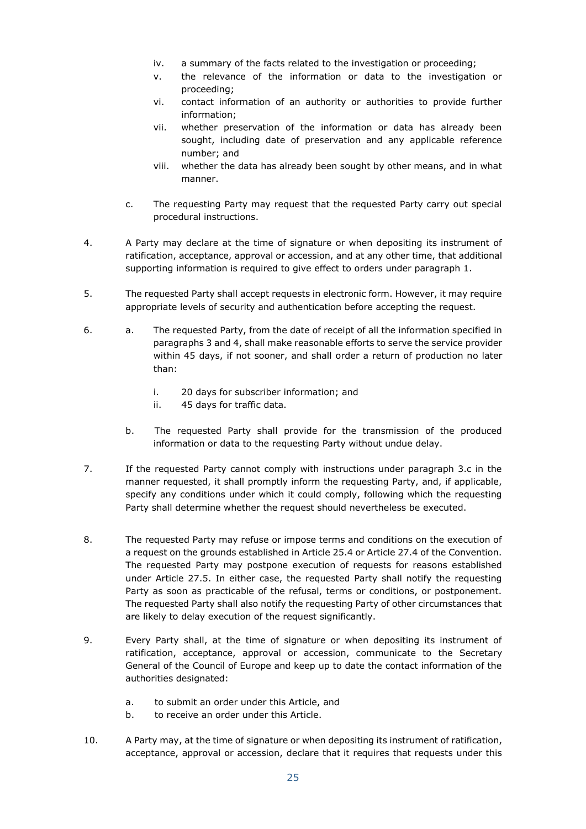- iv. a summary of the facts related to the investigation or proceeding;
- v. the relevance of the information or data to the investigation or proceeding;
- vi. contact information of an authority or authorities to provide further information;
- vii. whether preservation of the information or data has already been sought, including date of preservation and any applicable reference number; and
- viii. whether the data has already been sought by other means, and in what manner.
- c. The requesting Party may request that the requested Party carry out special procedural instructions.
- 4. A Party may declare at the time of signature or when depositing its instrument of ratification, acceptance, approval or accession, and at any other time, that additional supporting information is required to give effect to orders under paragraph 1.
- 5. The requested Party shall accept requests in electronic form. However, it may require appropriate levels of security and authentication before accepting the request.
- 6. a. The requested Party, from the date of receipt of all the information specified in paragraphs 3 and 4, shall make reasonable efforts to serve the service provider within 45 days, if not sooner, and shall order a return of production no later than:
	- i. 20 days for subscriber information; and
	- ii. 45 days for traffic data.
	- b. The requested Party shall provide for the transmission of the produced information or data to the requesting Party without undue delay.
- 7. If the requested Party cannot comply with instructions under paragraph 3.c in the manner requested, it shall promptly inform the requesting Party, and, if applicable, specify any conditions under which it could comply, following which the requesting Party shall determine whether the request should nevertheless be executed.
- 8. The requested Party may refuse or impose terms and conditions on the execution of a request on the grounds established in Article 25.4 or Article 27.4 of the Convention. The requested Party may postpone execution of requests for reasons established under Article 27.5. In either case, the requested Party shall notify the requesting Party as soon as practicable of the refusal, terms or conditions, or postponement. The requested Party shall also notify the requesting Party of other circumstances that are likely to delay execution of the request significantly.
- 9. Every Party shall, at the time of signature or when depositing its instrument of ratification, acceptance, approval or accession, communicate to the Secretary General of the Council of Europe and keep up to date the contact information of the authorities designated:
	- a. to submit an order under this Article, and
	- b. to receive an order under this Article.
- 10. A Party may, at the time of signature or when depositing its instrument of ratification, acceptance, approval or accession, declare that it requires that requests under this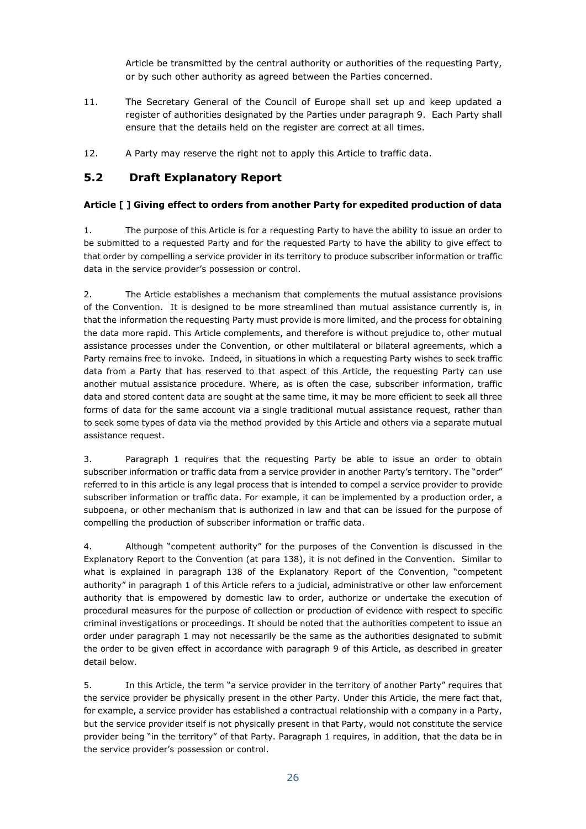Article be transmitted by the central authority or authorities of the requesting Party, or by such other authority as agreed between the Parties concerned.

- 11. The Secretary General of the Council of Europe shall set up and keep updated a register of authorities designated by the Parties under paragraph 9. Each Party shall ensure that the details held on the register are correct at all times.
- 12. A Party may reserve the right not to apply this Article to traffic data.

## <span id="page-25-0"></span>**5.2 Draft Explanatory Report**

### **Article [ ] Giving effect to orders from another Party for expedited production of data**

1. The purpose of this Article is for a requesting Party to have the ability to issue an order to be submitted to a requested Party and for the requested Party to have the ability to give effect to that order by compelling a service provider in its territory to produce subscriber information or traffic data in the service provider's possession or control.

2. The Article establishes a mechanism that complements the mutual assistance provisions of the Convention. It is designed to be more streamlined than mutual assistance currently is, in that the information the requesting Party must provide is more limited, and the process for obtaining the data more rapid. This Article complements, and therefore is without prejudice to, other mutual assistance processes under the Convention, or other multilateral or bilateral agreements, which a Party remains free to invoke. Indeed, in situations in which a requesting Party wishes to seek traffic data from a Party that has reserved to that aspect of this Article, the requesting Party can use another mutual assistance procedure. Where, as is often the case, subscriber information, traffic data and stored content data are sought at the same time, it may be more efficient to seek all three forms of data for the same account via a single traditional mutual assistance request, rather than to seek some types of data via the method provided by this Article and others via a separate mutual assistance request.

3. Paragraph 1 requires that the requesting Party be able to issue an order to obtain subscriber information or traffic data from a service provider in another Party's territory. The "order" referred to in this article is any legal process that is intended to compel a service provider to provide subscriber information or traffic data. For example, it can be implemented by a production order, a subpoena, or other mechanism that is authorized in law and that can be issued for the purpose of compelling the production of subscriber information or traffic data.

4. Although "competent authority" for the purposes of the Convention is discussed in the Explanatory Report to the Convention (at para 138), it is not defined in the Convention. Similar to what is explained in paragraph 138 of the Explanatory Report of the Convention, "competent authority" in paragraph 1 of this Article refers to a judicial, administrative or other law enforcement authority that is empowered by domestic law to order, authorize or undertake the execution of procedural measures for the purpose of collection or production of evidence with respect to specific criminal investigations or proceedings. It should be noted that the authorities competent to issue an order under paragraph 1 may not necessarily be the same as the authorities designated to submit the order to be given effect in accordance with paragraph 9 of this Article, as described in greater detail below.

5. In this Article, the term "a service provider in the territory of another Party" requires that the service provider be physically present in the other Party. Under this Article, the mere fact that, for example, a service provider has established a contractual relationship with a company in a Party, but the service provider itself is not physically present in that Party, would not constitute the service provider being "in the territory" of that Party. Paragraph 1 requires, in addition, that the data be in the service provider's possession or control.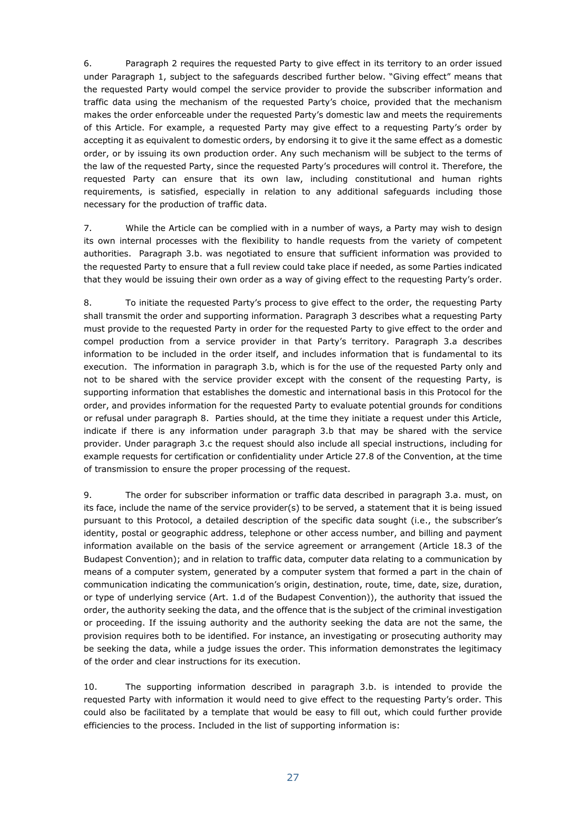6. Paragraph 2 requires the requested Party to give effect in its territory to an order issued under Paragraph 1, subject to the safeguards described further below. "Giving effect" means that the requested Party would compel the service provider to provide the subscriber information and traffic data using the mechanism of the requested Party's choice, provided that the mechanism makes the order enforceable under the requested Party's domestic law and meets the requirements of this Article. For example, a requested Party may give effect to a requesting Party's order by accepting it as equivalent to domestic orders, by endorsing it to give it the same effect as a domestic order, or by issuing its own production order. Any such mechanism will be subject to the terms of the law of the requested Party, since the requested Party's procedures will control it. Therefore, the requested Party can ensure that its own law, including constitutional and human rights requirements, is satisfied, especially in relation to any additional safeguards including those necessary for the production of traffic data.

7. While the Article can be complied with in a number of ways, a Party may wish to design its own internal processes with the flexibility to handle requests from the variety of competent authorities. Paragraph 3.b. was negotiated to ensure that sufficient information was provided to the requested Party to ensure that a full review could take place if needed, as some Parties indicated that they would be issuing their own order as a way of giving effect to the requesting Party's order.

8. To initiate the requested Party's process to give effect to the order, the requesting Party shall transmit the order and supporting information. Paragraph 3 describes what a requesting Party must provide to the requested Party in order for the requested Party to give effect to the order and compel production from a service provider in that Party's territory. Paragraph 3.a describes information to be included in the order itself, and includes information that is fundamental to its execution. The information in paragraph 3.b, which is for the use of the requested Party only and not to be shared with the service provider except with the consent of the requesting Party, is supporting information that establishes the domestic and international basis in this Protocol for the order, and provides information for the requested Party to evaluate potential grounds for conditions or refusal under paragraph 8. Parties should, at the time they initiate a request under this Article, indicate if there is any information under paragraph 3.b that may be shared with the service provider. Under paragraph 3.c the request should also include all special instructions, including for example requests for certification or confidentiality under Article 27.8 of the Convention, at the time of transmission to ensure the proper processing of the request.

9. The order for subscriber information or traffic data described in paragraph 3.a. must, on its face, include the name of the service provider(s) to be served, a statement that it is being issued pursuant to this Protocol, a detailed description of the specific data sought (i.e., the subscriber's identity, postal or geographic address, telephone or other access number, and billing and payment information available on the basis of the service agreement or arrangement (Article 18.3 of the Budapest Convention); and in relation to traffic data, computer data relating to a communication by means of a computer system, generated by a computer system that formed a part in the chain of communication indicating the communication's origin, destination, route, time, date, size, duration, or type of underlying service (Art. 1.d of the Budapest Convention)), the authority that issued the order, the authority seeking the data, and the offence that is the subject of the criminal investigation or proceeding. If the issuing authority and the authority seeking the data are not the same, the provision requires both to be identified. For instance, an investigating or prosecuting authority may be seeking the data, while a judge issues the order. This information demonstrates the legitimacy of the order and clear instructions for its execution.

10. The supporting information described in paragraph 3.b. is intended to provide the requested Party with information it would need to give effect to the requesting Party's order. This could also be facilitated by a template that would be easy to fill out, which could further provide efficiencies to the process. Included in the list of supporting information is: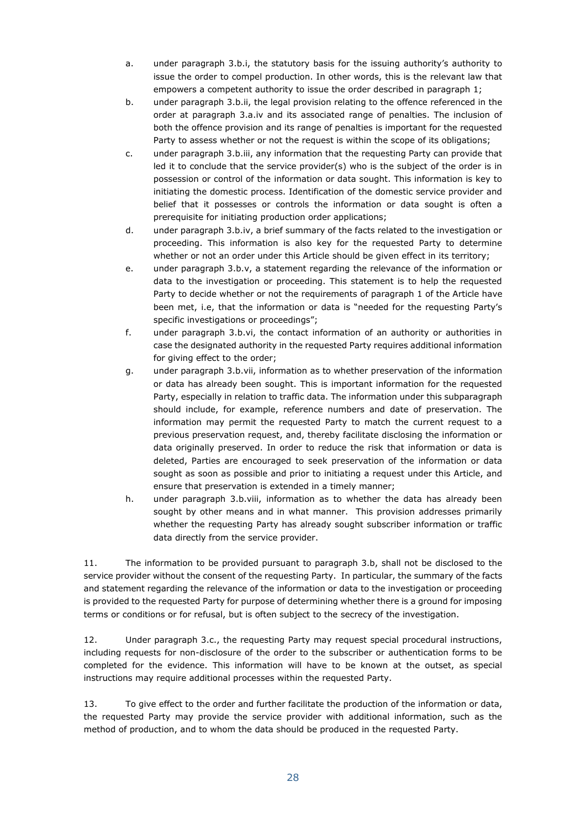- a. under paragraph 3.b.i, the statutory basis for the issuing authority's authority to issue the order to compel production. In other words, this is the relevant law that empowers a competent authority to issue the order described in paragraph 1;
- b. under paragraph 3.b.ii, the legal provision relating to the offence referenced in the order at paragraph 3.a.iv and its associated range of penalties. The inclusion of both the offence provision and its range of penalties is important for the requested Party to assess whether or not the request is within the scope of its obligations;
- c. under paragraph 3.b.iii, any information that the requesting Party can provide that led it to conclude that the service provider(s) who is the subject of the order is in possession or control of the information or data sought. This information is key to initiating the domestic process. Identification of the domestic service provider and belief that it possesses or controls the information or data sought is often a prerequisite for initiating production order applications;
- d. under paragraph 3.b.iv, a brief summary of the facts related to the investigation or proceeding. This information is also key for the requested Party to determine whether or not an order under this Article should be given effect in its territory;
- e. under paragraph 3.b.v, a statement regarding the relevance of the information or data to the investigation or proceeding. This statement is to help the requested Party to decide whether or not the requirements of paragraph 1 of the Article have been met, i.e, that the information or data is "needed for the requesting Party's specific investigations or proceedings";
- f. under paragraph 3.b.vi, the contact information of an authority or authorities in case the designated authority in the requested Party requires additional information for giving effect to the order;
- g. under paragraph 3.b.vii, information as to whether preservation of the information or data has already been sought. This is important information for the requested Party, especially in relation to traffic data. The information under this subparagraph should include, for example, reference numbers and date of preservation. The information may permit the requested Party to match the current request to a previous preservation request, and, thereby facilitate disclosing the information or data originally preserved. In order to reduce the risk that information or data is deleted, Parties are encouraged to seek preservation of the information or data sought as soon as possible and prior to initiating a request under this Article, and ensure that preservation is extended in a timely manner;
- h. under paragraph 3.b.viii, information as to whether the data has already been sought by other means and in what manner. This provision addresses primarily whether the requesting Party has already sought subscriber information or traffic data directly from the service provider.

11. The information to be provided pursuant to paragraph 3.b, shall not be disclosed to the service provider without the consent of the requesting Party. In particular, the summary of the facts and statement regarding the relevance of the information or data to the investigation or proceeding is provided to the requested Party for purpose of determining whether there is a ground for imposing terms or conditions or for refusal, but is often subject to the secrecy of the investigation.

12. Under paragraph 3.c., the requesting Party may request special procedural instructions, including requests for non-disclosure of the order to the subscriber or authentication forms to be completed for the evidence. This information will have to be known at the outset, as special instructions may require additional processes within the requested Party.

13. To give effect to the order and further facilitate the production of the information or data, the requested Party may provide the service provider with additional information, such as the method of production, and to whom the data should be produced in the requested Party.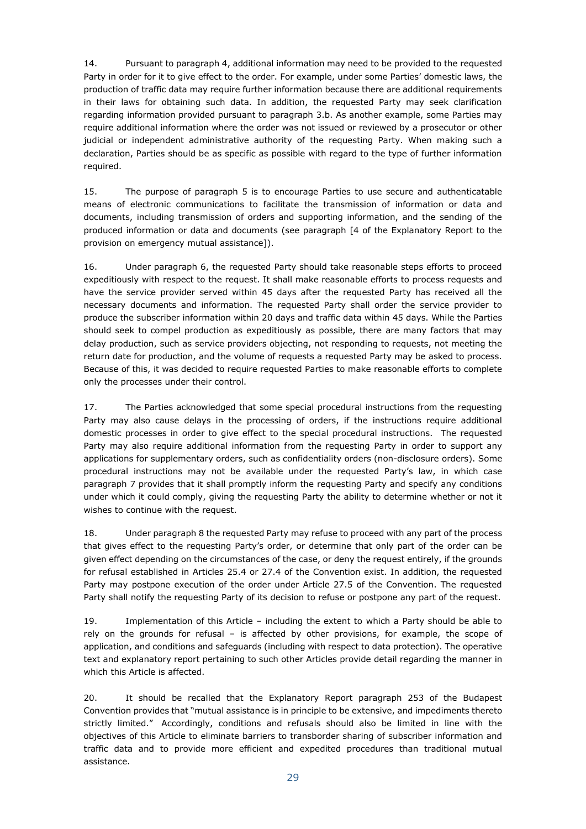14. Pursuant to paragraph 4, additional information may need to be provided to the requested Party in order for it to give effect to the order. For example, under some Parties' domestic laws, the production of traffic data may require further information because there are additional requirements in their laws for obtaining such data. In addition, the requested Party may seek clarification regarding information provided pursuant to paragraph 3.b. As another example, some Parties may require additional information where the order was not issued or reviewed by a prosecutor or other judicial or independent administrative authority of the requesting Party. When making such a declaration, Parties should be as specific as possible with regard to the type of further information required.

15. The purpose of paragraph 5 is to encourage Parties to use secure and authenticatable means of electronic communications to facilitate the transmission of information or data and documents, including transmission of orders and supporting information, and the sending of the produced information or data and documents (see paragraph [4 of the Explanatory Report to the provision on emergency mutual assistance]).

16. Under paragraph 6, the requested Party should take reasonable steps efforts to proceed expeditiously with respect to the request. It shall make reasonable efforts to process requests and have the service provider served within 45 days after the requested Party has received all the necessary documents and information. The requested Party shall order the service provider to produce the subscriber information within 20 days and traffic data within 45 days. While the Parties should seek to compel production as expeditiously as possible, there are many factors that may delay production, such as service providers objecting, not responding to requests, not meeting the return date for production, and the volume of requests a requested Party may be asked to process. Because of this, it was decided to require requested Parties to make reasonable efforts to complete only the processes under their control.

17. The Parties acknowledged that some special procedural instructions from the requesting Party may also cause delays in the processing of orders, if the instructions require additional domestic processes in order to give effect to the special procedural instructions. The requested Party may also require additional information from the requesting Party in order to support any applications for supplementary orders, such as confidentiality orders (non-disclosure orders). Some procedural instructions may not be available under the requested Party's law, in which case paragraph 7 provides that it shall promptly inform the requesting Party and specify any conditions under which it could comply, giving the requesting Party the ability to determine whether or not it wishes to continue with the request.

18. Under paragraph 8 the requested Party may refuse to proceed with any part of the process that gives effect to the requesting Party's order, or determine that only part of the order can be given effect depending on the circumstances of the case, or deny the request entirely, if the grounds for refusal established in Articles 25.4 or 27.4 of the Convention exist. In addition, the requested Party may postpone execution of the order under Article 27.5 of the Convention. The requested Party shall notify the requesting Party of its decision to refuse or postpone any part of the request.

19. Implementation of this Article – including the extent to which a Party should be able to rely on the grounds for refusal – is affected by other provisions, for example, the scope of application, and conditions and safeguards (including with respect to data protection). The operative text and explanatory report pertaining to such other Articles provide detail regarding the manner in which this Article is affected.

20. It should be recalled that the Explanatory Report paragraph 253 of the Budapest Convention provides that "mutual assistance is in principle to be extensive, and impediments thereto strictly limited." Accordingly, conditions and refusals should also be limited in line with the objectives of this Article to eliminate barriers to transborder sharing of subscriber information and traffic data and to provide more efficient and expedited procedures than traditional mutual assistance.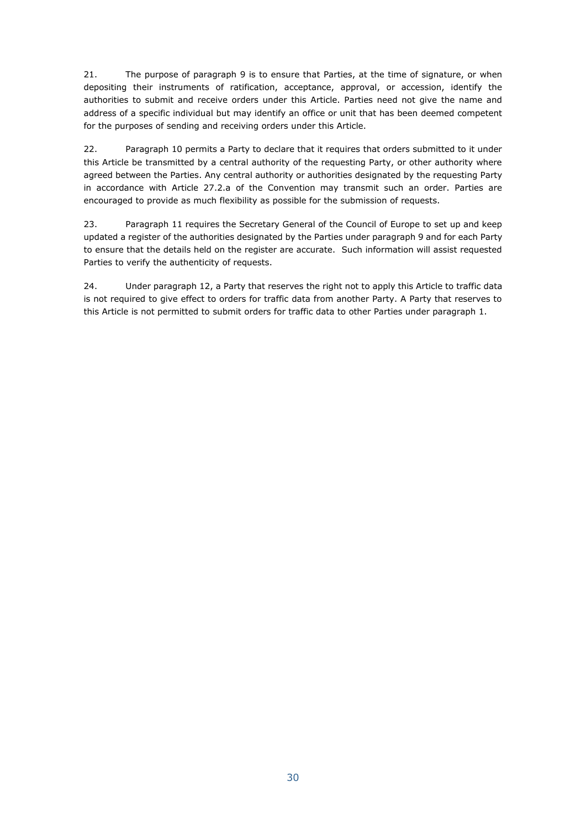21. The purpose of paragraph 9 is to ensure that Parties, at the time of signature, or when depositing their instruments of ratification, acceptance, approval, or accession, identify the authorities to submit and receive orders under this Article. Parties need not give the name and address of a specific individual but may identify an office or unit that has been deemed competent for the purposes of sending and receiving orders under this Article.

22. Paragraph 10 permits a Party to declare that it requires that orders submitted to it under this Article be transmitted by a central authority of the requesting Party, or other authority where agreed between the Parties. Any central authority or authorities designated by the requesting Party in accordance with Article 27.2.a of the Convention may transmit such an order. Parties are encouraged to provide as much flexibility as possible for the submission of requests.

23. Paragraph 11 requires the Secretary General of the Council of Europe to set up and keep updated a register of the authorities designated by the Parties under paragraph 9 and for each Party to ensure that the details held on the register are accurate. Such information will assist requested Parties to verify the authenticity of requests.

24. Under paragraph 12, a Party that reserves the right not to apply this Article to traffic data is not required to give effect to orders for traffic data from another Party. A Party that reserves to this Article is not permitted to submit orders for traffic data to other Parties under paragraph 1.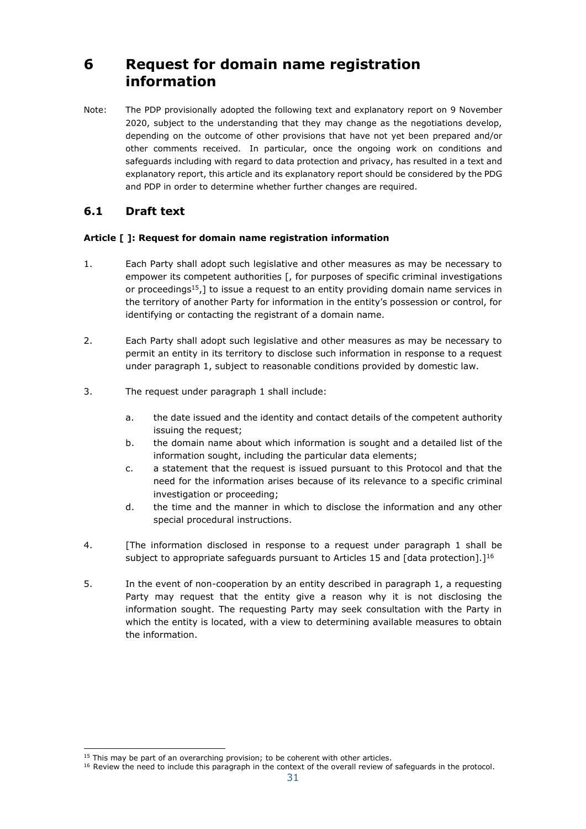## <span id="page-30-0"></span>**6 Request for domain name registration information**

Note: The PDP provisionally adopted the following text and explanatory report on 9 November 2020, subject to the understanding that they may change as the negotiations develop, depending on the outcome of other provisions that have not yet been prepared and/or other comments received. In particular, once the ongoing work on conditions and safeguards including with regard to data protection and privacy, has resulted in a text and explanatory report, this article and its explanatory report should be considered by the PDG and PDP in order to determine whether further changes are required.

### <span id="page-30-1"></span>**6.1 Draft text**

### **Article [ ]: Request for domain name registration information**

- 1. Each Party shall adopt such legislative and other measures as may be necessary to empower its competent authorities [, for purposes of specific criminal investigations or proceedings<sup>15</sup>,] to issue a request to an entity providing domain name services in the territory of another Party for information in the entity's possession or control, for identifying or contacting the registrant of a domain name.
- 2. Each Party shall adopt such legislative and other measures as may be necessary to permit an entity in its territory to disclose such information in response to a request under paragraph 1, subject to reasonable conditions provided by domestic law.
- 3. The request under paragraph 1 shall include:
	- a. the date issued and the identity and contact details of the competent authority issuing the request;
	- b. the domain name about which information is sought and a detailed list of the information sought, including the particular data elements;
	- c. a statement that the request is issued pursuant to this Protocol and that the need for the information arises because of its relevance to a specific criminal investigation or proceeding;
	- d. the time and the manner in which to disclose the information and any other special procedural instructions.
- 4. [The information disclosed in response to a request under paragraph 1 shall be subject to appropriate safeguards pursuant to Articles 15 and [data protection].]<sup>16</sup>
- 5. In the event of non-cooperation by an entity described in paragraph 1, a requesting Party may request that the entity give a reason why it is not disclosing the information sought. The requesting Party may seek consultation with the Party in which the entity is located, with a view to determining available measures to obtain the information.

-

 $15$  This may be part of an overarching provision; to be coherent with other articles.

<sup>&</sup>lt;sup>16</sup> Review the need to include this paragraph in the context of the overall review of safeguards in the protocol.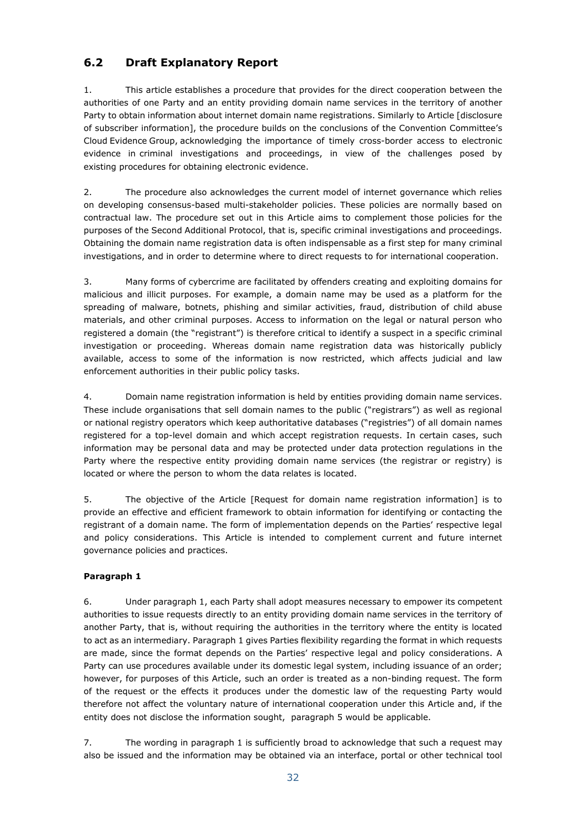## <span id="page-31-0"></span>**6.2 Draft Explanatory Report**

1. This article establishes a procedure that provides for the direct cooperation between the authorities of one Party and an entity providing domain name services in the territory of another Party to obtain information about internet domain name registrations. Similarly to Article [disclosure of subscriber information], the procedure builds on the conclusions of the Convention Committee's Cloud Evidence Group, acknowledging the importance of timely cross-border access to electronic evidence in criminal investigations and proceedings, in view of the challenges posed by existing procedures for obtaining electronic evidence.

2. The procedure also acknowledges the current model of internet governance which relies on developing consensus-based multi-stakeholder policies. These policies are normally based on contractual law. The procedure set out in this Article aims to complement those policies for the purposes of the Second Additional Protocol, that is, specific criminal investigations and proceedings. Obtaining the domain name registration data is often indispensable as a first step for many criminal investigations, and in order to determine where to direct requests to for international cooperation.

3. Many forms of cybercrime are facilitated by offenders creating and exploiting domains for malicious and illicit purposes. For example, a domain name may be used as a platform for the spreading of malware, botnets, phishing and similar activities, fraud, distribution of child abuse materials, and other criminal purposes. Access to information on the legal or natural person who registered a domain (the "registrant") is therefore critical to identify a suspect in a specific criminal investigation or proceeding. Whereas domain name registration data was historically publicly available, access to some of the information is now restricted, which affects judicial and law enforcement authorities in their public policy tasks.

4. Domain name registration information is held by entities providing domain name services. These include organisations that sell domain names to the public ("registrars") as well as regional or national registry operators which keep authoritative databases ("registries") of all domain names registered for a top-level domain and which accept registration requests. In certain cases, such information may be personal data and may be protected under data protection regulations in the Party where the respective entity providing domain name services (the registrar or registry) is located or where the person to whom the data relates is located.

5. The objective of the Article [Request for domain name registration information] is to provide an effective and efficient framework to obtain information for identifying or contacting the registrant of a domain name. The form of implementation depends on the Parties' respective legal and policy considerations. This Article is intended to complement current and future internet governance policies and practices.

### **Paragraph 1**

6. Under paragraph 1, each Party shall adopt measures necessary to empower its competent authorities to issue requests directly to an entity providing domain name services in the territory of another Party, that is, without requiring the authorities in the territory where the entity is located to act as an intermediary. Paragraph 1 gives Parties flexibility regarding the format in which requests are made, since the format depends on the Parties' respective legal and policy considerations. A Party can use procedures available under its domestic legal system, including issuance of an order; however, for purposes of this Article, such an order is treated as a non-binding request. The form of the request or the effects it produces under the domestic law of the requesting Party would therefore not affect the voluntary nature of international cooperation under this Article and, if the entity does not disclose the information sought, paragraph 5 would be applicable.

7. The wording in paragraph 1 is sufficiently broad to acknowledge that such a request may also be issued and the information may be obtained via an interface, portal or other technical tool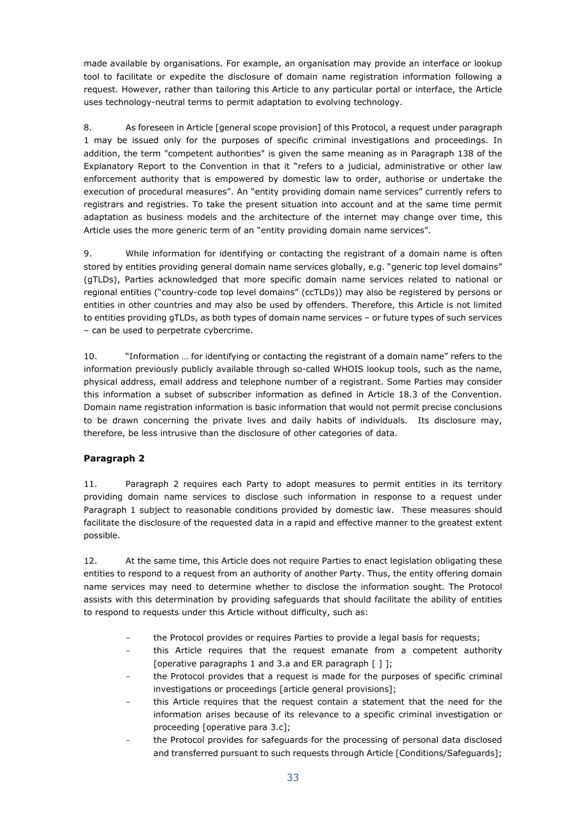made available by organisations. For example, an organisation may provide an interface or lookup tool to facilitate or expedite the disclosure of domain name registration information following a request. However, rather than tailoring this Article to any particular portal or interface, the Article uses technology-neutral terms to permit adaptation to evolving technology.

8. As foreseen in Article [general scope provision] of this Protocol, a request under paragraph 1 may be issued only for the purposes of specific criminal investigations and proceedings. In addition, the term "competent authorities" is given the same meaning as in Paragraph 138 of the Explanatory Report to the Convention in that it "refers to a judicial, administrative or other law enforcement authority that is empowered by domestic law to order, authorise or undertake the execution of procedural measures". An "entity providing domain name services" currently refers to registrars and registries. To take the present situation into account and at the same time permit adaptation as business models and the architecture of the internet may change over time, this Article uses the more generic term of an "entity providing domain name services".

9. While information for identifying or contacting the registrant of a domain name is often stored by entities providing general domain name services globally, e.g. "generic top level domains" (gTLDs), Parties acknowledged that more specific domain name services related to national or regional entities ("country-code top level domains" (ccTLDs)) may also be registered by persons or entities in other countries and may also be used by offenders. Therefore, this Article is not limited to entities providing gTLDs, as both types of domain name services – or future types of such services – can be used to perpetrate cybercrime.

10. "Information … for identifying or contacting the registrant of a domain name" refers to the information previously publicly available through so-called WHOIS lookup tools, such as the name, physical address, email address and telephone number of a registrant. Some Parties may consider this information a subset of subscriber information as defined in Article 18.3 of the Convention. Domain name registration information is basic information that would not permit precise conclusions to be drawn concerning the private lives and daily habits of individuals. Its disclosure may, therefore, be less intrusive than the disclosure of other categories of data.

### **Paragraph 2**

11. Paragraph 2 requires each Party to adopt measures to permit entities in its territory providing domain name services to disclose such information in response to a request under Paragraph 1 subject to reasonable conditions provided by domestic law. These measures should facilitate the disclosure of the requested data in a rapid and effective manner to the greatest extent possible.

12. At the same time, this Article does not require Parties to enact legislation obligating these entities to respond to a request from an authority of another Party. Thus, the entity offering domain name services may need to determine whether to disclose the information sought. The Protocol assists with this determination by providing safeguards that should facilitate the ability of entities to respond to requests under this Article without difficulty, such as:

- the Protocol provides or requires Parties to provide a legal basis for requests;
- this Article requires that the request emanate from a competent authority [operative paragraphs 1 and 3.a and ER paragraph  $[1]$ ;
- the Protocol provides that a request is made for the purposes of specific criminal investigations or proceedings [article general provisions];
- this Article requires that the request contain a statement that the need for the information arises because of its relevance to a specific criminal investigation or proceeding [operative para 3.c];
- the Protocol provides for safeguards for the processing of personal data disclosed and transferred pursuant to such requests through Article [Conditions/Safeguards];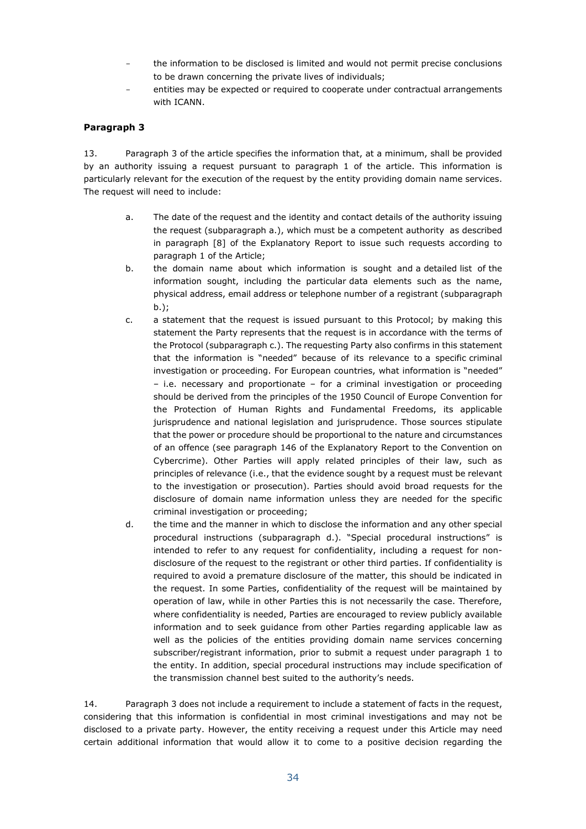- the information to be disclosed is limited and would not permit precise conclusions to be drawn concerning the private lives of individuals;
- entities may be expected or required to cooperate under contractual arrangements with ICANN.

#### **Paragraph 3**

13. Paragraph 3 of the article specifies the information that, at a minimum, shall be provided by an authority issuing a request pursuant to paragraph 1 of the article. This information is particularly relevant for the execution of the request by the entity providing domain name services. The request will need to include:

- a. The date of the request and the identity and contact details of the authority issuing the request (subparagraph a.), which must be a competent authority as described in paragraph [8] of the Explanatory Report to issue such requests according to paragraph 1 of the Article;
- b. the domain name about which information is sought and a detailed list of the information sought, including the particular data elements such as the name, physical address, email address or telephone number of a registrant (subparagraph b.);
- c. a statement that the request is issued pursuant to this Protocol; by making this statement the Party represents that the request is in accordance with the terms of the Protocol (subparagraph c.). The requesting Party also confirms in this statement that the information is "needed" because of its relevance to a specific criminal investigation or proceeding. For European countries, what information is "needed" – i.e. necessary and proportionate – for a criminal investigation or proceeding should be derived from the principles of the 1950 Council of Europe Convention for the Protection of Human Rights and Fundamental Freedoms, its applicable jurisprudence and national legislation and jurisprudence. Those sources stipulate that the power or procedure should be proportional to the nature and circumstances of an offence (see paragraph 146 of the Explanatory Report to the Convention on Cybercrime). Other Parties will apply related principles of their law, such as principles of relevance (i.e., that the evidence sought by a request must be relevant to the investigation or prosecution). Parties should avoid broad requests for the disclosure of domain name information unless they are needed for the specific criminal investigation or proceeding;
- d. the time and the manner in which to disclose the information and any other special procedural instructions (subparagraph d.). "Special procedural instructions" is intended to refer to any request for confidentiality, including a request for nondisclosure of the request to the registrant or other third parties. If confidentiality is required to avoid a premature disclosure of the matter, this should be indicated in the request. In some Parties, confidentiality of the request will be maintained by operation of law, while in other Parties this is not necessarily the case. Therefore, where confidentiality is needed, Parties are encouraged to review publicly available information and to seek guidance from other Parties regarding applicable law as well as the policies of the entities providing domain name services concerning subscriber/registrant information, prior to submit a request under paragraph 1 to the entity. In addition, special procedural instructions may include specification of the transmission channel best suited to the authority's needs.

14. Paragraph 3 does not include a requirement to include a statement of facts in the request, considering that this information is confidential in most criminal investigations and may not be disclosed to a private party. However, the entity receiving a request under this Article may need certain additional information that would allow it to come to a positive decision regarding the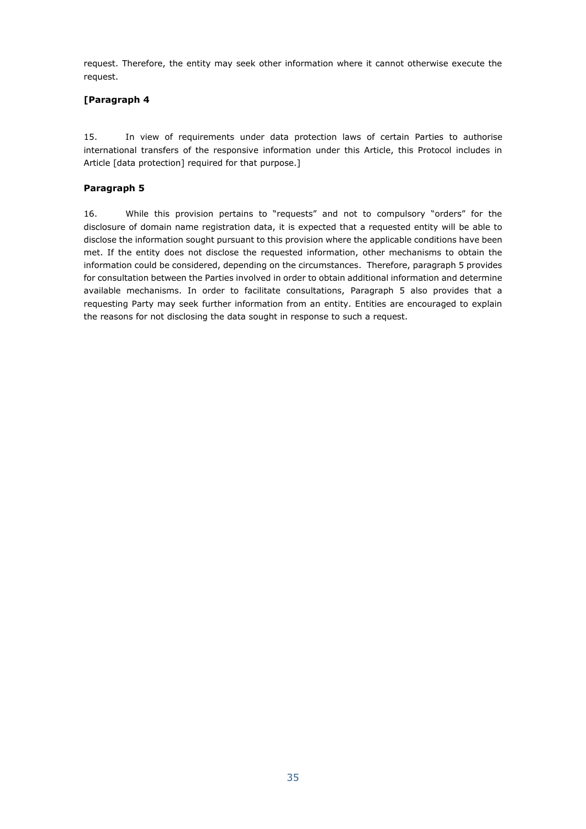request. Therefore, the entity may seek other information where it cannot otherwise execute the request.

### **[Paragraph 4**

15. In view of requirements under data protection laws of certain Parties to authorise international transfers of the responsive information under this Article, this Protocol includes in Article [data protection] required for that purpose.]

#### **Paragraph 5**

16. While this provision pertains to "requests" and not to compulsory "orders" for the disclosure of domain name registration data, it is expected that a requested entity will be able to disclose the information sought pursuant to this provision where the applicable conditions have been met. If the entity does not disclose the requested information, other mechanisms to obtain the information could be considered, depending on the circumstances. Therefore, paragraph 5 provides for consultation between the Parties involved in order to obtain additional information and determine available mechanisms. In order to facilitate consultations, Paragraph 5 also provides that a requesting Party may seek further information from an entity. Entities are encouraged to explain the reasons for not disclosing the data sought in response to such a request.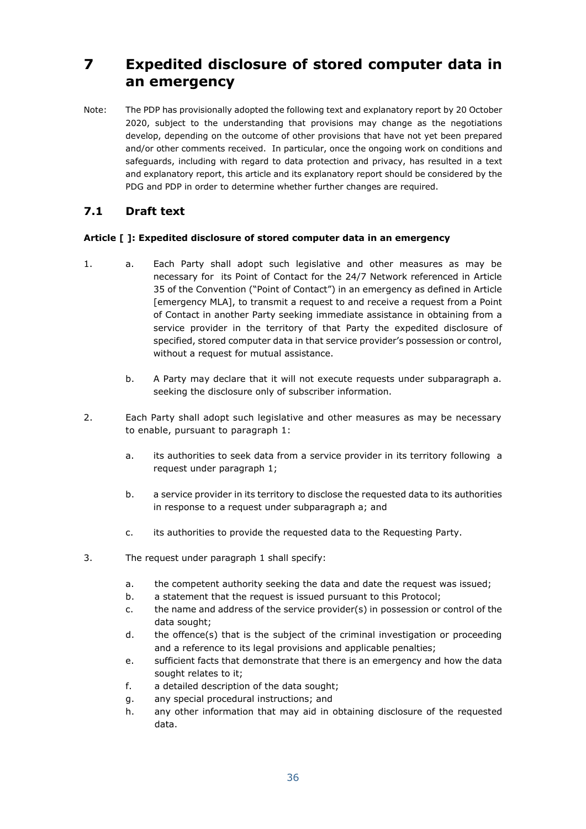# <span id="page-35-0"></span>**7 Expedited disclosure of stored computer data in an emergency**

Note: The PDP has provisionally adopted the following text and explanatory report by 20 October 2020, subject to the understanding that provisions may change as the negotiations develop, depending on the outcome of other provisions that have not yet been prepared and/or other comments received. In particular, once the ongoing work on conditions and safeguards, including with regard to data protection and privacy, has resulted in a text and explanatory report, this article and its explanatory report should be considered by the PDG and PDP in order to determine whether further changes are required.

## <span id="page-35-1"></span>**7.1 Draft text**

### **Article [ ]: Expedited disclosure of stored computer data in an emergency**

- 1. a. Each Party shall adopt such legislative and other measures as may be necessary for its Point of Contact for the 24/7 Network referenced in Article 35 of the Convention ("Point of Contact") in an emergency as defined in Article [emergency MLA], to transmit a request to and receive a request from a Point of Contact in another Party seeking immediate assistance in obtaining from a service provider in the territory of that Party the expedited disclosure of specified, stored computer data in that service provider's possession or control, without a request for mutual assistance.
	- b. A Party may declare that it will not execute requests under subparagraph a. seeking the disclosure only of subscriber information.
- 2. Each Party shall adopt such legislative and other measures as may be necessary to enable, pursuant to paragraph 1:
	- a. its authorities to seek data from a service provider in its territory following a request under paragraph 1;
	- b. a service provider in its territory to disclose the requested data to its authorities in response to a request under subparagraph a; and
	- c. its authorities to provide the requested data to the Requesting Party.
- 3. The request under paragraph 1 shall specify:
	- a. the competent authority seeking the data and date the request was issued;
	- b. a statement that the request is issued pursuant to this Protocol;
	- c. the name and address of the service provider(s) in possession or control of the data sought;
	- d. the offence(s) that is the subject of the criminal investigation or proceeding and a reference to its legal provisions and applicable penalties;
	- e. sufficient facts that demonstrate that there is an emergency and how the data sought relates to it;
	- f. a detailed description of the data sought;
	- g. any special procedural instructions; and
	- h. any other information that may aid in obtaining disclosure of the requested data.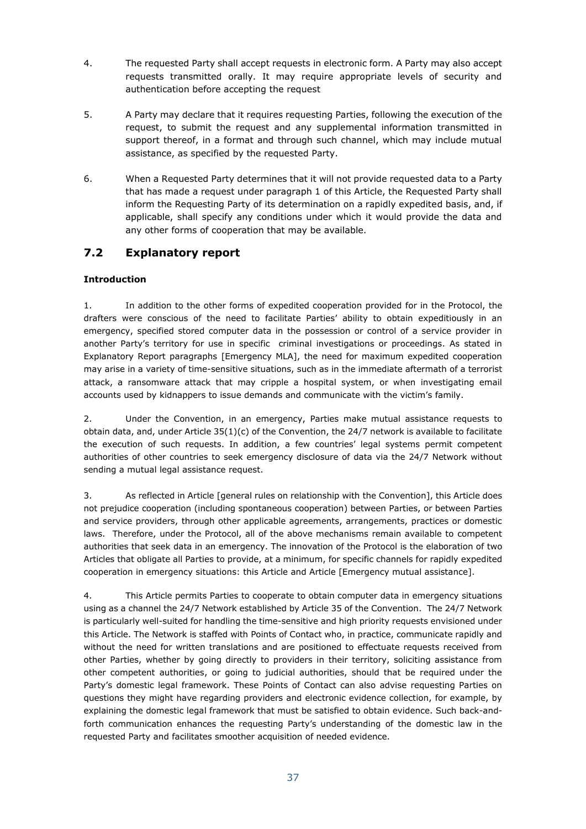- 4. The requested Party shall accept requests in electronic form. A Party may also accept requests transmitted orally. It may require appropriate levels of security and authentication before accepting the request
- 5. A Party may declare that it requires requesting Parties, following the execution of the request, to submit the request and any supplemental information transmitted in support thereof, in a format and through such channel, which may include mutual assistance, as specified by the requested Party.
- 6. When a Requested Party determines that it will not provide requested data to a Party that has made a request under paragraph 1 of this Article, the Requested Party shall inform the Requesting Party of its determination on a rapidly expedited basis, and, if applicable, shall specify any conditions under which it would provide the data and any other forms of cooperation that may be available.

## <span id="page-36-0"></span>**7.2 Explanatory report**

### **Introduction**

1. In addition to the other forms of expedited cooperation provided for in the Protocol, the drafters were conscious of the need to facilitate Parties' ability to obtain expeditiously in an emergency, specified stored computer data in the possession or control of a service provider in another Party's territory for use in specific criminal investigations or proceedings. As stated in Explanatory Report paragraphs [Emergency MLA], the need for maximum expedited cooperation may arise in a variety of time-sensitive situations, such as in the immediate aftermath of a terrorist attack, a ransomware attack that may cripple a hospital system, or when investigating email accounts used by kidnappers to issue demands and communicate with the victim's family.

2. Under the Convention, in an emergency, Parties make mutual assistance requests to obtain data, and, under Article 35(1)(c) of the Convention, the 24/7 network is available to facilitate the execution of such requests. In addition, a few countries' legal systems permit competent authorities of other countries to seek emergency disclosure of data via the 24/7 Network without sending a mutual legal assistance request.

3. As reflected in Article [general rules on relationship with the Convention], this Article does not prejudice cooperation (including spontaneous cooperation) between Parties, or between Parties and service providers, through other applicable agreements, arrangements, practices or domestic laws. Therefore, under the Protocol, all of the above mechanisms remain available to competent authorities that seek data in an emergency. The innovation of the Protocol is the elaboration of two Articles that obligate all Parties to provide, at a minimum, for specific channels for rapidly expedited cooperation in emergency situations: this Article and Article [Emergency mutual assistance].

4. This Article permits Parties to cooperate to obtain computer data in emergency situations using as a channel the 24/7 Network established by Article 35 of the Convention. The 24/7 Network is particularly well-suited for handling the time-sensitive and high priority requests envisioned under this Article. The Network is staffed with Points of Contact who, in practice, communicate rapidly and without the need for written translations and are positioned to effectuate requests received from other Parties, whether by going directly to providers in their territory, soliciting assistance from other competent authorities, or going to judicial authorities, should that be required under the Party's domestic legal framework. These Points of Contact can also advise requesting Parties on questions they might have regarding providers and electronic evidence collection, for example, by explaining the domestic legal framework that must be satisfied to obtain evidence. Such back-andforth communication enhances the requesting Party's understanding of the domestic law in the requested Party and facilitates smoother acquisition of needed evidence.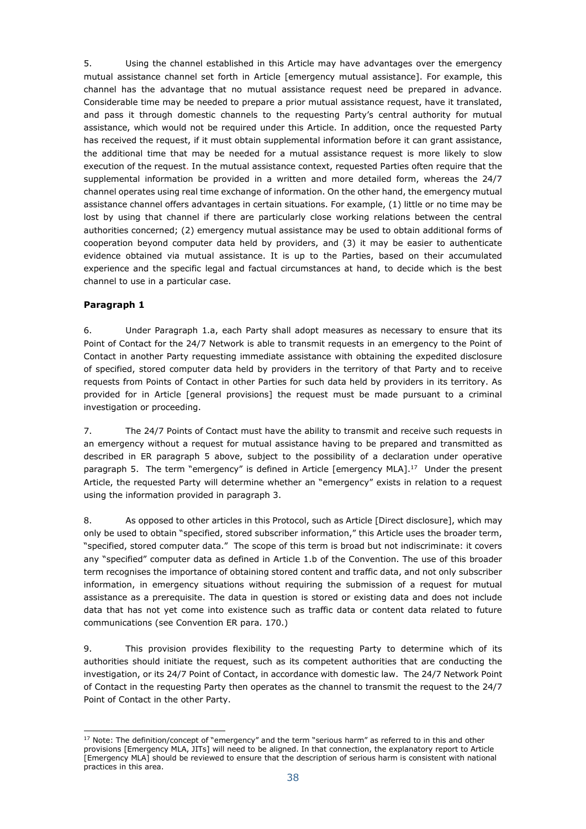5. Using the channel established in this Article may have advantages over the emergency mutual assistance channel set forth in Article [emergency mutual assistance]. For example, this channel has the advantage that no mutual assistance request need be prepared in advance. Considerable time may be needed to prepare a prior mutual assistance request, have it translated, and pass it through domestic channels to the requesting Party's central authority for mutual assistance, which would not be required under this Article. In addition, once the requested Party has received the request, if it must obtain supplemental information before it can grant assistance, the additional time that may be needed for a mutual assistance request is more likely to slow execution of the request. In the mutual assistance context, requested Parties often require that the supplemental information be provided in a written and more detailed form, whereas the 24/7 channel operates using real time exchange of information. On the other hand, the emergency mutual assistance channel offers advantages in certain situations. For example, (1) little or no time may be lost by using that channel if there are particularly close working relations between the central authorities concerned; (2) emergency mutual assistance may be used to obtain additional forms of cooperation beyond computer data held by providers, and (3) it may be easier to authenticate evidence obtained via mutual assistance. It is up to the Parties, based on their accumulated experience and the specific legal and factual circumstances at hand, to decide which is the best channel to use in a particular case.

### **Paragraph 1**

6. Under Paragraph 1.a, each Party shall adopt measures as necessary to ensure that its Point of Contact for the 24/7 Network is able to transmit requests in an emergency to the Point of Contact in another Party requesting immediate assistance with obtaining the expedited disclosure of specified, stored computer data held by providers in the territory of that Party and to receive requests from Points of Contact in other Parties for such data held by providers in its territory. As provided for in Article [general provisions] the request must be made pursuant to a criminal investigation or proceeding.

7. The 24/7 Points of Contact must have the ability to transmit and receive such requests in an emergency without a request for mutual assistance having to be prepared and transmitted as described in ER paragraph 5 above, subject to the possibility of a declaration under operative paragraph 5. The term "emergency" is defined in Article [emergency MLA]. $^{17}$  Under the present Article, the requested Party will determine whether an "emergency" exists in relation to a request using the information provided in paragraph 3.

8. As opposed to other articles in this Protocol, such as Article [Direct disclosure], which may only be used to obtain "specified, stored subscriber information," this Article uses the broader term, "specified, stored computer data." The scope of this term is broad but not indiscriminate: it covers any "specified" computer data as defined in Article 1.b of the Convention. The use of this broader term recognises the importance of obtaining stored content and traffic data, and not only subscriber information, in emergency situations without requiring the submission of a request for mutual assistance as a prerequisite. The data in question is stored or existing data and does not include data that has not yet come into existence such as traffic data or content data related to future communications (see Convention ER para. 170.)

9. This provision provides flexibility to the requesting Party to determine which of its authorities should initiate the request, such as its competent authorities that are conducting the investigation, or its 24/7 Point of Contact, in accordance with domestic law. The 24/7 Network Point of Contact in the requesting Party then operates as the channel to transmit the request to the 24/7 Point of Contact in the other Party.

<sup>-</sup> $17$  Note: The definition/concept of "emergency" and the term "serious harm" as referred to in this and other provisions [Emergency MLA, JITs] will need to be aligned. In that connection, the explanatory report to Article [Emergency MLA] should be reviewed to ensure that the description of serious harm is consistent with national practices in this area.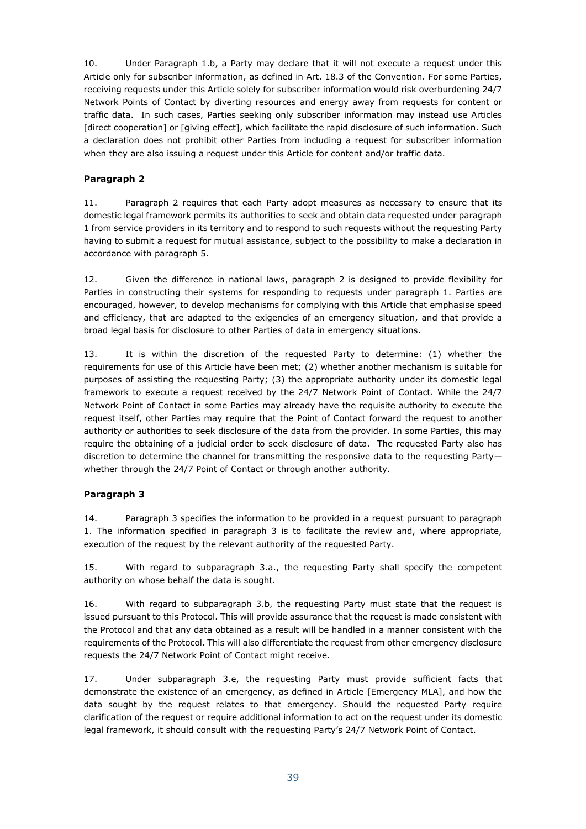10. Under Paragraph 1.b, a Party may declare that it will not execute a request under this Article only for subscriber information, as defined in Art. 18.3 of the Convention. For some Parties, receiving requests under this Article solely for subscriber information would risk overburdening 24/7 Network Points of Contact by diverting resources and energy away from requests for content or traffic data. In such cases, Parties seeking only subscriber information may instead use Articles [direct cooperation] or [giving effect], which facilitate the rapid disclosure of such information. Such a declaration does not prohibit other Parties from including a request for subscriber information when they are also issuing a request under this Article for content and/or traffic data.

### **Paragraph 2**

11. Paragraph 2 requires that each Party adopt measures as necessary to ensure that its domestic legal framework permits its authorities to seek and obtain data requested under paragraph 1 from service providers in its territory and to respond to such requests without the requesting Party having to submit a request for mutual assistance, subject to the possibility to make a declaration in accordance with paragraph 5.

12. Given the difference in national laws, paragraph 2 is designed to provide flexibility for Parties in constructing their systems for responding to requests under paragraph 1. Parties are encouraged, however, to develop mechanisms for complying with this Article that emphasise speed and efficiency, that are adapted to the exigencies of an emergency situation, and that provide a broad legal basis for disclosure to other Parties of data in emergency situations.

13. It is within the discretion of the requested Party to determine: (1) whether the requirements for use of this Article have been met; (2) whether another mechanism is suitable for purposes of assisting the requesting Party; (3) the appropriate authority under its domestic legal framework to execute a request received by the 24/7 Network Point of Contact. While the 24/7 Network Point of Contact in some Parties may already have the requisite authority to execute the request itself, other Parties may require that the Point of Contact forward the request to another authority or authorities to seek disclosure of the data from the provider. In some Parties, this may require the obtaining of a judicial order to seek disclosure of data. The requested Party also has discretion to determine the channel for transmitting the responsive data to the requesting Party whether through the 24/7 Point of Contact or through another authority.

### **Paragraph 3**

14. Paragraph 3 specifies the information to be provided in a request pursuant to paragraph 1. The information specified in paragraph 3 is to facilitate the review and, where appropriate, execution of the request by the relevant authority of the requested Party.

15. With regard to subparagraph 3.a., the requesting Party shall specify the competent authority on whose behalf the data is sought.

16. With regard to subparagraph 3.b, the requesting Party must state that the request is issued pursuant to this Protocol. This will provide assurance that the request is made consistent with the Protocol and that any data obtained as a result will be handled in a manner consistent with the requirements of the Protocol. This will also differentiate the request from other emergency disclosure requests the 24/7 Network Point of Contact might receive.

17. Under subparagraph 3.e, the requesting Party must provide sufficient facts that demonstrate the existence of an emergency, as defined in Article [Emergency MLA], and how the data sought by the request relates to that emergency. Should the requested Party require clarification of the request or require additional information to act on the request under its domestic legal framework, it should consult with the requesting Party's 24/7 Network Point of Contact.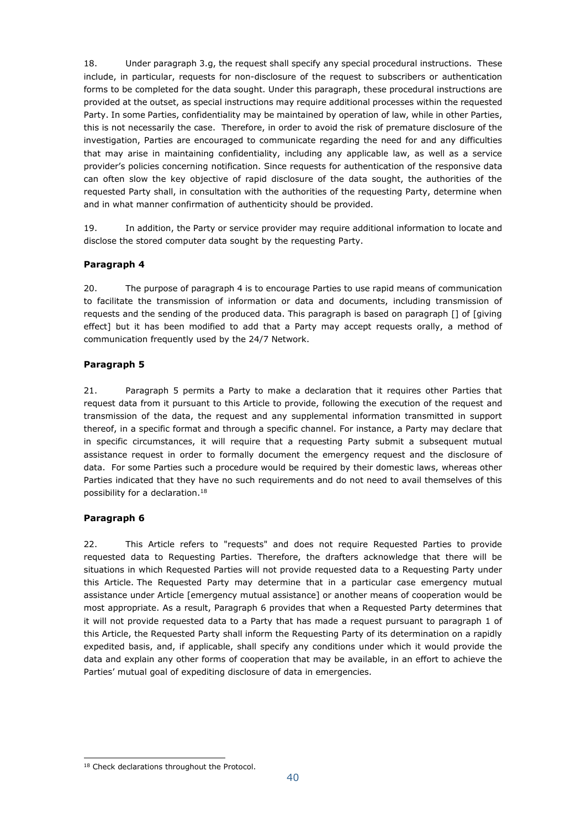18. Under paragraph 3.g, the request shall specify any special procedural instructions. These include, in particular, requests for non-disclosure of the request to subscribers or authentication forms to be completed for the data sought. Under this paragraph, these procedural instructions are provided at the outset, as special instructions may require additional processes within the requested Party. In some Parties, confidentiality may be maintained by operation of law, while in other Parties, this is not necessarily the case. Therefore, in order to avoid the risk of premature disclosure of the investigation, Parties are encouraged to communicate regarding the need for and any difficulties that may arise in maintaining confidentiality, including any applicable law, as well as a service provider's policies concerning notification. Since requests for authentication of the responsive data can often slow the key objective of rapid disclosure of the data sought, the authorities of the requested Party shall, in consultation with the authorities of the requesting Party, determine when and in what manner confirmation of authenticity should be provided.

19. In addition, the Party or service provider may require additional information to locate and disclose the stored computer data sought by the requesting Party.

### **Paragraph 4**

20. The purpose of paragraph 4 is to encourage Parties to use rapid means of communication to facilitate the transmission of information or data and documents, including transmission of requests and the sending of the produced data. This paragraph is based on paragraph [] of [giving effect] but it has been modified to add that a Party may accept requests orally, a method of communication frequently used by the 24/7 Network.

### **Paragraph 5**

21. Paragraph 5 permits a Party to make a declaration that it requires other Parties that request data from it pursuant to this Article to provide, following the execution of the request and transmission of the data, the request and any supplemental information transmitted in support thereof, in a specific format and through a specific channel. For instance, a Party may declare that in specific circumstances, it will require that a requesting Party submit a subsequent mutual assistance request in order to formally document the emergency request and the disclosure of data. For some Parties such a procedure would be required by their domestic laws, whereas other Parties indicated that they have no such requirements and do not need to avail themselves of this possibility for a declaration.<sup>18</sup>

### **Paragraph 6**

22. This Article refers to "requests" and does not require Requested Parties to provide requested data to Requesting Parties. Therefore, the drafters acknowledge that there will be situations in which Requested Parties will not provide requested data to a Requesting Party under this Article. The Requested Party may determine that in a particular case emergency mutual assistance under Article [emergency mutual assistance] or another means of cooperation would be most appropriate. As a result, Paragraph 6 provides that when a Requested Party determines that it will not provide requested data to a Party that has made a request pursuant to paragraph 1 of this Article, the Requested Party shall inform the Requesting Party of its determination on a rapidly expedited basis, and, if applicable, shall specify any conditions under which it would provide the data and explain any other forms of cooperation that may be available, in an effort to achieve the Parties' mutual goal of expediting disclosure of data in emergencies.

<sup>-</sup><sup>18</sup> Check declarations throughout the Protocol.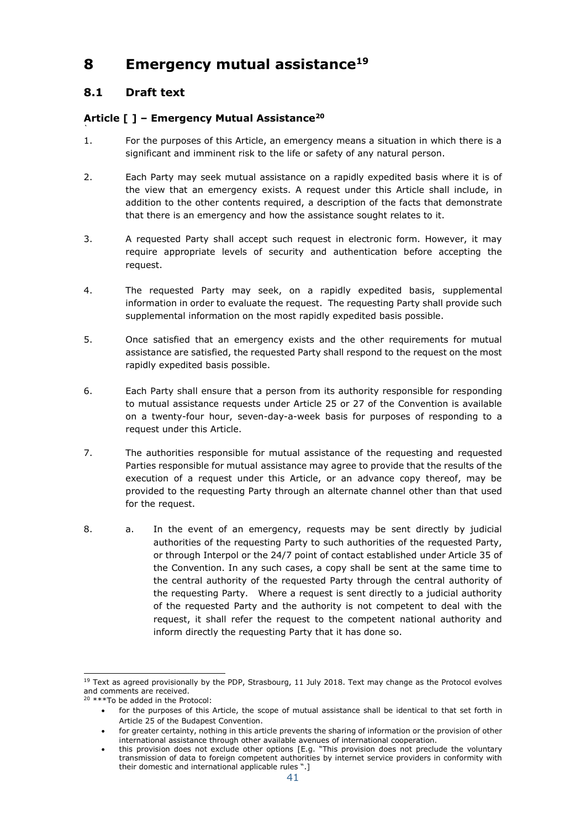# <span id="page-40-0"></span>**8 Emergency mutual assistance<sup>19</sup>**

## <span id="page-40-1"></span>**8.1 Draft text**

`

### **Article [ ] – Emergency Mutual Assistance<sup>20</sup>**

- 1. For the purposes of this Article, an emergency means a situation in which there is a significant and imminent risk to the life or safety of any natural person.
- 2. Each Party may seek mutual assistance on a rapidly expedited basis where it is of the view that an emergency exists. A request under this Article shall include, in addition to the other contents required, a description of the facts that demonstrate that there is an emergency and how the assistance sought relates to it.
- 3. A requested Party shall accept such request in electronic form. However, it may require appropriate levels of security and authentication before accepting the request.
- 4. The requested Party may seek, on a rapidly expedited basis, supplemental information in order to evaluate the request. The requesting Party shall provide such supplemental information on the most rapidly expedited basis possible.
- 5. Once satisfied that an emergency exists and the other requirements for mutual assistance are satisfied, the requested Party shall respond to the request on the most rapidly expedited basis possible.
- 6. Each Party shall ensure that a person from its authority responsible for responding to mutual assistance requests under Article 25 or 27 of the Convention is available on a twenty-four hour, seven-day-a-week basis for purposes of responding to a request under this Article.
- 7. The authorities responsible for mutual assistance of the requesting and requested Parties responsible for mutual assistance may agree to provide that the results of the execution of a request under this Article, or an advance copy thereof, may be provided to the requesting Party through an alternate channel other than that used for the request.
- 8. a. In the event of an emergency, requests may be sent directly by judicial authorities of the requesting Party to such authorities of the requested Party, or through Interpol or the 24/7 point of contact established under Article 35 of the Convention. In any such cases, a copy shall be sent at the same time to the central authority of the requested Party through the central authority of the requesting Party. Where a request is sent directly to a judicial authority of the requested Party and the authority is not competent to deal with the request, it shall refer the request to the competent national authority and inform directly the requesting Party that it has done so.

<sup>-</sup><sup>19</sup> Text as agreed provisionally by the PDP, Strasbourg, 11 July 2018. Text may change as the Protocol evolves and comments are received.

<sup>20</sup> \*\*\*To be added in the Protocol:

for the purposes of this Article, the scope of mutual assistance shall be identical to that set forth in Article 25 of the Budapest Convention.

for greater certainty, nothing in this article prevents the sharing of information or the provision of other international assistance through other available avenues of international cooperation.

this provision does not exclude other options [E.g. "This provision does not preclude the voluntary transmission of data to foreign competent authorities by internet service providers in conformity with their domestic and international applicable rules ".]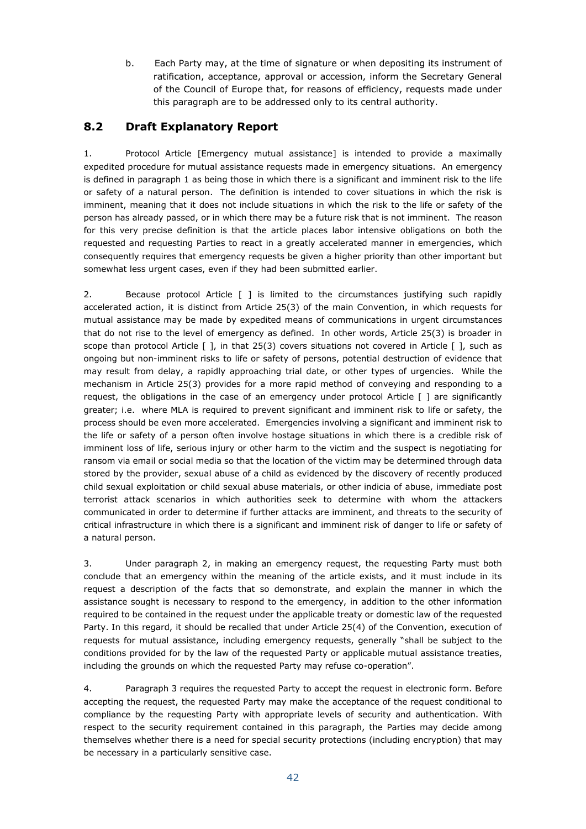b. Each Party may, at the time of signature or when depositing its instrument of ratification, acceptance, approval or accession, inform the Secretary General of the Council of Europe that, for reasons of efficiency, requests made under this paragraph are to be addressed only to its central authority.

## <span id="page-41-0"></span>**8.2 Draft Explanatory Report**

1. Protocol Article [Emergency mutual assistance] is intended to provide a maximally expedited procedure for mutual assistance requests made in emergency situations. An emergency is defined in paragraph 1 as being those in which there is a significant and imminent risk to the life or safety of a natural person. The definition is intended to cover situations in which the risk is imminent, meaning that it does not include situations in which the risk to the life or safety of the person has already passed, or in which there may be a future risk that is not imminent. The reason for this very precise definition is that the article places labor intensive obligations on both the requested and requesting Parties to react in a greatly accelerated manner in emergencies, which consequently requires that emergency requests be given a higher priority than other important but somewhat less urgent cases, even if they had been submitted earlier.

2. Because protocol Article [ ] is limited to the circumstances justifying such rapidly accelerated action, it is distinct from Article 25(3) of the main Convention, in which requests for mutual assistance may be made by expedited means of communications in urgent circumstances that do not rise to the level of emergency as defined. In other words, Article 25(3) is broader in scope than protocol Article [ ], in that 25(3) covers situations not covered in Article [ ], such as ongoing but non-imminent risks to life or safety of persons, potential destruction of evidence that may result from delay, a rapidly approaching trial date, or other types of urgencies. While the mechanism in Article 25(3) provides for a more rapid method of conveying and responding to a request, the obligations in the case of an emergency under protocol Article [ ] are significantly greater; i.e. where MLA is required to prevent significant and imminent risk to life or safety, the process should be even more accelerated. Emergencies involving a significant and imminent risk to the life or safety of a person often involve hostage situations in which there is a credible risk of imminent loss of life, serious injury or other harm to the victim and the suspect is negotiating for ransom via email or social media so that the location of the victim may be determined through data stored by the provider, sexual abuse of a child as evidenced by the discovery of recently produced child sexual exploitation or child sexual abuse materials, or other indicia of abuse, immediate post terrorist attack scenarios in which authorities seek to determine with whom the attackers communicated in order to determine if further attacks are imminent, and threats to the security of critical infrastructure in which there is a significant and imminent risk of danger to life or safety of a natural person.

3. Under paragraph 2, in making an emergency request, the requesting Party must both conclude that an emergency within the meaning of the article exists, and it must include in its request a description of the facts that so demonstrate, and explain the manner in which the assistance sought is necessary to respond to the emergency, in addition to the other information required to be contained in the request under the applicable treaty or domestic law of the requested Party. In this regard, it should be recalled that under Article 25(4) of the Convention, execution of requests for mutual assistance, including emergency requests, generally "shall be subject to the conditions provided for by the law of the requested Party or applicable mutual assistance treaties, including the grounds on which the requested Party may refuse co-operation".

4. Paragraph 3 requires the requested Party to accept the request in electronic form. Before accepting the request, the requested Party may make the acceptance of the request conditional to compliance by the requesting Party with appropriate levels of security and authentication. With respect to the security requirement contained in this paragraph, the Parties may decide among themselves whether there is a need for special security protections (including encryption) that may be necessary in a particularly sensitive case.